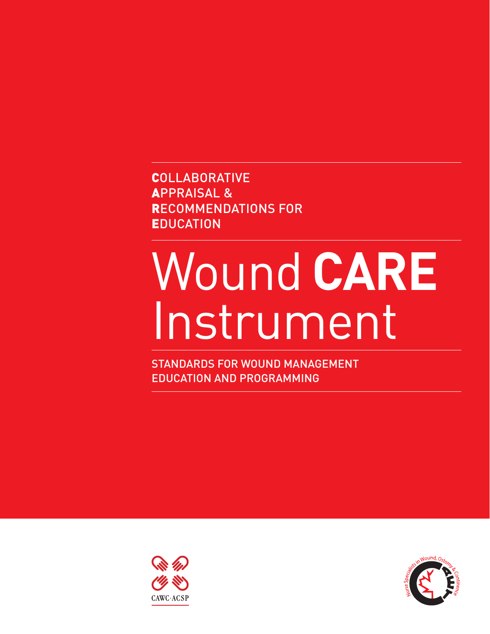**COLLABORATIVE** Appraisal & Recommendations for **EDUCATION** 

# Wound **Care** Instrument

Standards for Wound Management Education and Programming



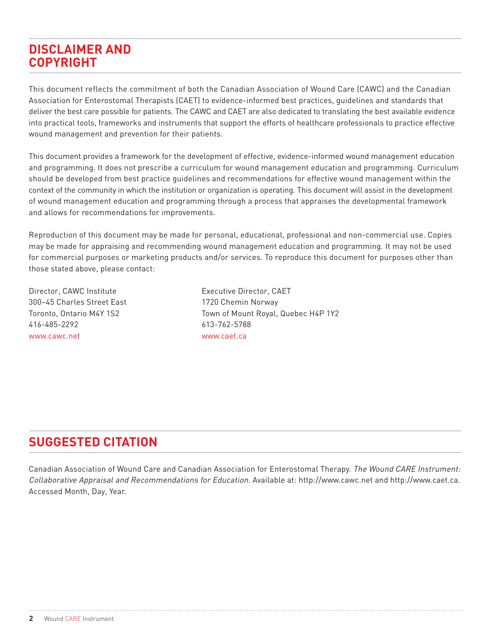# **Disclaimer ANd Copyright**

This document reflects the commitment of both the Canadian Association of Wound Care (CAWC) and the Canadian Association for Enterostomal Therapists (CAET) to evidence-informed best practices, guidelines and standards that deliver the best care possible for patients. The CAWC and CAET are also dedicated to translating the best available evidence into practical tools, frameworks and instruments that support the efforts of healthcare professionals to practice effective wound management and prevention for their patients.

This document provides a framework for the development of effective, evidence-informed wound management education and programming. It does not prescribe a curriculum for wound management education and programming. Curriculum should be developed from best practice guidelines and recommendations for effective wound management within the context of the community in which the institution or organization is operating. This document will assist in the development of wound management education and programming through a process that appraises the developmental framework and allows for recommendations for improvements.

Reproduction of this document may be made for personal, educational, professional and non-commercial use. Copies may be made for appraising and recommending wound management education and programming. It may not be used for commercial purposes or marketing products and/or services. To reproduce this document for purposes other than those stated above, please contact:

Director, CAWC Institute **Executive Director, CAET** 300–45 Charles Street East 1720 Chemin Norway 416-485-2292 613-762-5788 www.cawc.net www.caet.ca

Toronto, Ontario M4Y 1S2 Town of Mount Royal, Quebec H4P 1Y2

# **SUGGESTED CITATION**

Canadian Association of Wound Care and Canadian Association for Enterostomal Therapy. The Wound CARE Instrument: Collaborative Appraisal and Recommendations for Education. Available at: http://www.cawc.net and http://www.caet.ca. Accessed Month, Day, Year.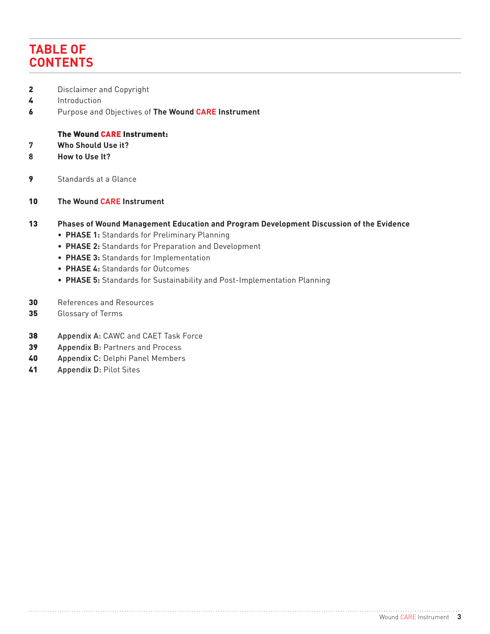# **Table of Contents**

- **2** Disclaimer and Copyright
- 4 Introduction
- 6 Purpose and Objectives of **The Wound CARE Instrument**

#### The Wound CARE Instrument:

- **7 Who Should Use it?**
- **8 How to Use It?**
- **9** Standards at a Glance
- 10 **The Wound CARE Instrument**

#### 13 **Phases of Wound Management Education and Program Development Discussion of the Evidence**

- **Phase 1:** Standards for Preliminary Planning
- **Phase 2:** Standards for Preparation and Development
- **Phase 3:** Standards for Implementation
- **Phase 4:** Standards for Outcomes
- **Phase 5:** Standards for Sustainability and Post-Implementation Planning
- 30 References and Resources
- 35 Glossary of Terms
- 38 Appendix A: CAWC and CAET Task Force
- 39 Appendix B: Partners and Process
- 40 Appendix C: Delphi Panel Members
- 41 Appendix D: Pilot Sites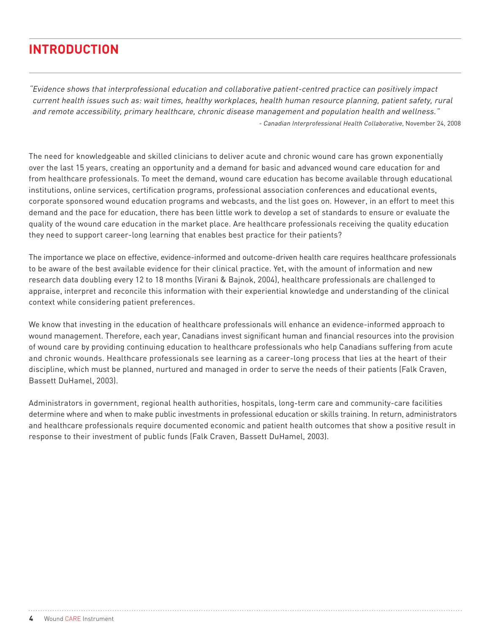# **Introduction**

"Evidence shows that interprofessional education and collaborative patient-centred practice can positively impact current health issues such as: wait times, healthy workplaces, health human resource planning, patient safety, rural and remote accessibility, primary healthcare, chronic disease management and population health and wellness." - Canadian Interprofessional Health Collaborative, November 24, 2008

The need for knowledgeable and skilled clinicians to deliver acute and chronic wound care has grown exponentially over the last 15 years, creating an opportunity and a demand for basic and advanced wound care education for and from healthcare professionals. To meet the demand, wound care education has become available through educational institutions, online services, certification programs, professional association conferences and educational events, corporate sponsored wound education programs and webcasts, and the list goes on. However, in an effort to meet this demand and the pace for education, there has been little work to develop a set of standards to ensure or evaluate the quality of the wound care education in the market place. Are healthcare professionals receiving the quality education they need to support career-long learning that enables best practice for their patients?

The importance we place on effective, evidence-informed and outcome-driven health care requires healthcare professionals to be aware of the best available evidence for their clinical practice. Yet, with the amount of information and new research data doubling every 12 to 18 months (Virani & Bajnok, 2004), healthcare professionals are challenged to appraise, interpret and reconcile this information with their experiential knowledge and understanding of the clinical context while considering patient preferences.

We know that investing in the education of healthcare professionals will enhance an evidence-informed approach to wound management. Therefore, each year, Canadians invest significant human and financial resources into the provision of wound care by providing continuing education to healthcare professionals who help Canadians suffering from acute and chronic wounds. Healthcare professionals see learning as a career-long process that lies at the heart of their discipline, which must be planned, nurtured and managed in order to serve the needs of their patients (Falk Craven, Bassett DuHamel, 2003).

Administrators in government, regional health authorities, hospitals, long-term care and community-care facilities determine where and when to make public investments in professional education or skills training. In return, administrators and healthcare professionals require documented economic and patient health outcomes that show a positive result in response to their investment of public funds (Falk Craven, Bassett DuHamel, 2003).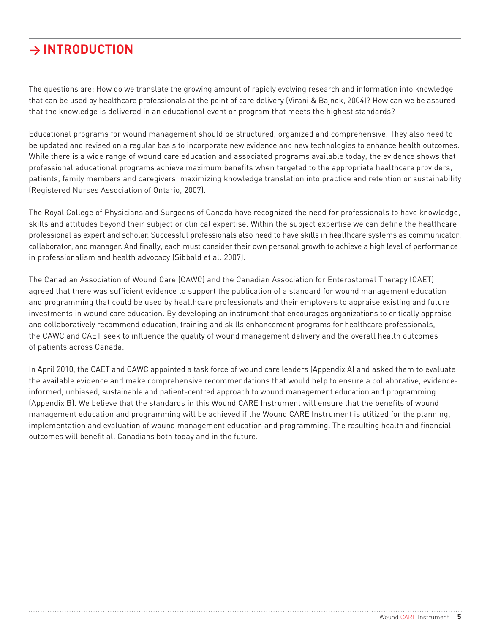# **> Introduction**

The questions are: How do we translate the growing amount of rapidly evolving research and information into knowledge that can be used by healthcare professionals at the point of care delivery (Virani & Bajnok, 2004)? How can we be assured that the knowledge is delivered in an educational event or program that meets the highest standards?

Educational programs for wound management should be structured, organized and comprehensive. They also need to be updated and revised on a regular basis to incorporate new evidence and new technologies to enhance health outcomes. While there is a wide range of wound care education and associated programs available today, the evidence shows that professional educational programs achieve maximum benefits when targeted to the appropriate healthcare providers, patients, family members and caregivers, maximizing knowledge translation into practice and retention or sustainability (Registered Nurses Association of Ontario, 2007).

The Royal College of Physicians and Surgeons of Canada have recognized the need for professionals to have knowledge, skills and attitudes beyond their subject or clinical expertise. Within the subject expertise we can define the healthcare professional as expert and scholar. Successful professionals also need to have skills in healthcare systems as communicator, collaborator, and manager. And finally, each must consider their own personal growth to achieve a high level of performance in professionalism and health advocacy (Sibbald et al. 2007).

The Canadian Association of Wound Care (CAWC) and the Canadian Association for Enterostomal Therapy (CAET) agreed that there was sufficient evidence to support the publication of a standard for wound management education and programming that could be used by healthcare professionals and their employers to appraise existing and future investments in wound care education. By developing an instrument that encourages organizations to critically appraise and collaboratively recommend education, training and skills enhancement programs for healthcare professionals, the CAWC and CAET seek to influence the quality of wound management delivery and the overall health outcomes of patients across Canada.

In April 2010, the CAET and CAWC appointed a task force of wound care leaders (Appendix A) and asked them to evaluate the available evidence and make comprehensive recommendations that would help to ensure a collaborative, evidenceinformed, unbiased, sustainable and patient-centred approach to wound management education and programming (Appendix B). We believe that the standards in this Wound CARE Instrument will ensure that the benefits of wound management education and programming will be achieved if the Wound CARE Instrument is utilized for the planning, implementation and evaluation of wound management education and programming. The resulting health and financial outcomes will benefit all Canadians both today and in the future.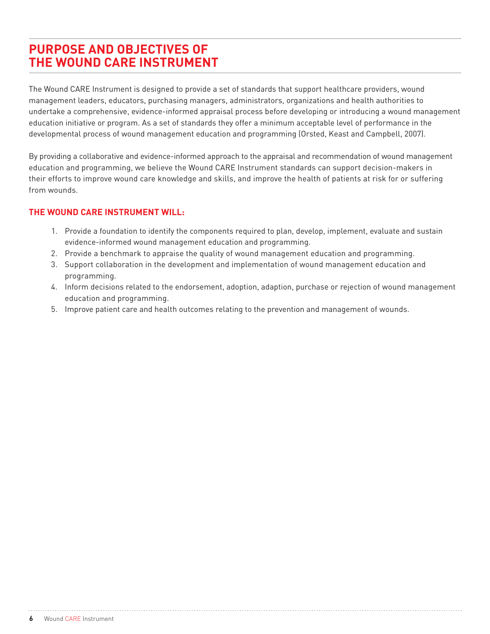# **Purpose and Objectives of the Wound CARE Instrument**

The Wound CARE Instrument is designed to provide a set of standards that support healthcare providers, wound management leaders, educators, purchasing managers, administrators, organizations and health authorities to undertake a comprehensive, evidence-informed appraisal process before developing or introducing a wound management education initiative or program. As a set of standards they offer a minimum acceptable level of performance in the developmental process of wound management education and programming (Orsted, Keast and Campbell, 2007).

By providing a collaborative and evidence-informed approach to the appraisal and recommendation of wound management education and programming, we believe the Wound CARE Instrument standards can support decision-makers in their efforts to improve wound care knowledge and skills, and improve the health of patients at risk for or suffering from wounds.

#### **The Wound CARE Instrument will:**

- 1. Provide a foundation to identify the components required to plan, develop, implement, evaluate and sustain evidence-informed wound management education and programming.
- 2. Provide a benchmark to appraise the quality of wound management education and programming.
- 3. Support collaboration in the development and implementation of wound management education and programming.
- 4. Inform decisions related to the endorsement, adoption, adaption, purchase or rejection of wound management education and programming.
- 5. Improve patient care and health outcomes relating to the prevention and management of wounds.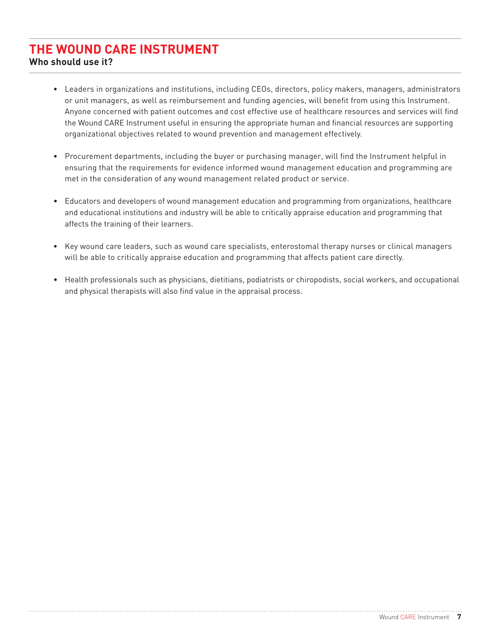# **The Wound CARE Instrument**

**Who should use it?**

- Leaders in organizations and institutions, including CEOs, directors, policy makers, managers, administrators or unit managers, as well as reimbursement and funding agencies, will benefit from using this Instrument. Anyone concerned with patient outcomes and cost effective use of healthcare resources and services will find the Wound CARE Instrument useful in ensuring the appropriate human and financial resources are supporting organizational objectives related to wound prevention and management effectively.
- Procurement departments, including the buyer or purchasing manager, will find the Instrument helpful in ensuring that the requirements for evidence informed wound management education and programming are met in the consideration of any wound management related product or service.
- Educators and developers of wound management education and programming from organizations, healthcare and educational institutions and industry will be able to critically appraise education and programming that affects the training of their learners.
- Key wound care leaders, such as wound care specialists, enterostomal therapy nurses or clinical managers will be able to critically appraise education and programming that affects patient care directly.
- Health professionals such as physicians, dietitians, podiatrists or chiropodists, social workers, and occupational and physical therapists will also find value in the appraisal process.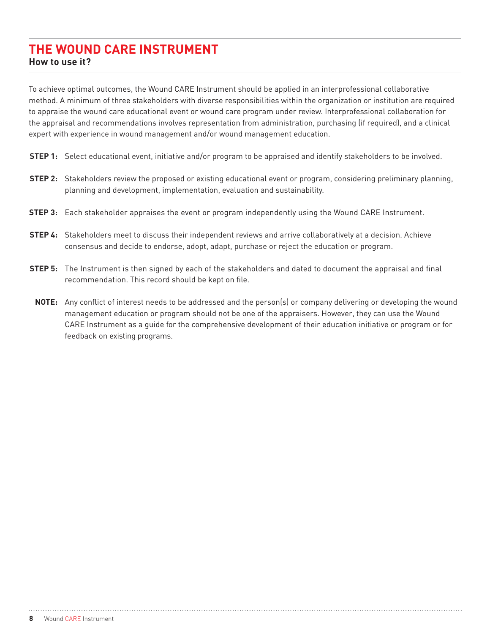## **The Wound CARE Instrument How to use it?**

To achieve optimal outcomes, the Wound CARE Instrument should be applied in an interprofessional collaborative method. A minimum of three stakeholders with diverse responsibilities within the organization or institution are required to appraise the wound care educational event or wound care program under review. Interprofessional collaboration for the appraisal and recommendations involves representation from administration, purchasing (if required), and a clinical expert with experience in wound management and/or wound management education.

- **STEP 1:** Select educational event, initiative and/or program to be appraised and identify stakeholders to be involved.
- **STEP 2:** Stakeholders review the proposed or existing educational event or program, considering preliminary planning, planning and development, implementation, evaluation and sustainability.
- **STEP 3:** Each stakeholder appraises the event or program independently using the Wound CARE Instrument.
- **STEP 4:** Stakeholders meet to discuss their independent reviews and arrive collaboratively at a decision. Achieve consensus and decide to endorse, adopt, adapt, purchase or reject the education or program.
- **STEP 5:** The Instrument is then signed by each of the stakeholders and dated to document the appraisal and final recommendation. This record should be kept on file.
- **NOTE:** Any conflict of interest needs to be addressed and the person(s) or company delivering or developing the wound management education or program should not be one of the appraisers. However, they can use the Wound CARE Instrument as a guide for the comprehensive development of their education initiative or program or for feedback on existing programs.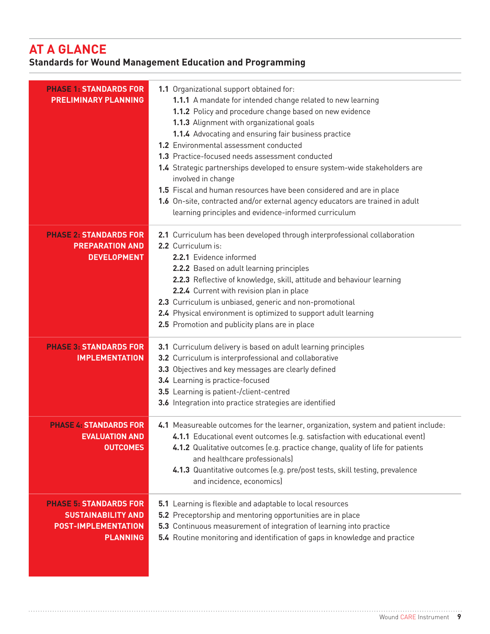# **AT A GLANCE**

# **Standards for Wound Management Education and Programming**

| <b>PHASE 1: STANDARDS FOR</b><br><b>PRELIMINARY PLANNING</b>                                                | 1.1 Organizational support obtained for:<br>1.1.1 A mandate for intended change related to new learning<br>1.1.2 Policy and procedure change based on new evidence<br>1.1.3 Alignment with organizational goals<br>1.1.4 Advocating and ensuring fair business practice<br>1.2 Environmental assessment conducted<br>1.3 Practice-focused needs assessment conducted<br>1.4 Strategic partnerships developed to ensure system-wide stakeholders are<br>involved in change<br>1.5 Fiscal and human resources have been considered and are in place<br>1.6 On-site, contracted and/or external agency educators are trained in adult<br>learning principles and evidence-informed curriculum |
|-------------------------------------------------------------------------------------------------------------|--------------------------------------------------------------------------------------------------------------------------------------------------------------------------------------------------------------------------------------------------------------------------------------------------------------------------------------------------------------------------------------------------------------------------------------------------------------------------------------------------------------------------------------------------------------------------------------------------------------------------------------------------------------------------------------------|
| <b>PHASE 2: STANDARDS FOR</b><br><b>PREPARATION AND</b><br><b>DEVELOPMENT</b>                               | 2.1 Curriculum has been developed through interprofessional collaboration<br>2.2 Curriculum is:<br>2.2.1 Evidence informed<br>2.2.2 Based on adult learning principles<br>2.2.3 Reflective of knowledge, skill, attitude and behaviour learning<br>2.2.4 Current with revision plan in place<br>2.3 Curriculum is unbiased, generic and non-promotional<br>2.4 Physical environment is optimized to support adult learning<br>2.5 Promotion and publicity plans are in place                                                                                                                                                                                                               |
| <b>PHASE 3: STANDARDS FOR</b><br><b>IMPLEMENTATION</b>                                                      | 3.1 Curriculum delivery is based on adult learning principles<br>3.2 Curriculum is interprofessional and collaborative<br>3.3 Objectives and key messages are clearly defined<br>3.4 Learning is practice-focused<br>3.5 Learning is patient-/client-centred<br>3.6 Integration into practice strategies are identified                                                                                                                                                                                                                                                                                                                                                                    |
| <b>PHASE 4: STANDARDS FOR</b><br><b>EVALUATION AND</b><br><b>OUTCOMES</b>                                   | 4.1 Measureable outcomes for the learner, organization, system and patient include:<br>4.1.1 Educational event outcomes (e.g. satisfaction with educational event)<br>4.1.2 Qualitative outcomes (e.g. practice change, quality of life for patients<br>and healthcare professionals)<br>4.1.3 Quantitative outcomes (e.g. pre/post tests, skill testing, prevalence<br>and incidence, economics)                                                                                                                                                                                                                                                                                          |
| <b>PHASE 5: STANDARDS FOR</b><br><b>SUSTAINABILITY AND</b><br><b>POST-IMPLEMENTATION</b><br><b>PLANNING</b> | 5.1 Learning is flexible and adaptable to local resources<br>5.2 Preceptorship and mentoring opportunities are in place<br>5.3 Continuous measurement of integration of learning into practice<br>5.4 Routine monitoring and identification of gaps in knowledge and practice                                                                                                                                                                                                                                                                                                                                                                                                              |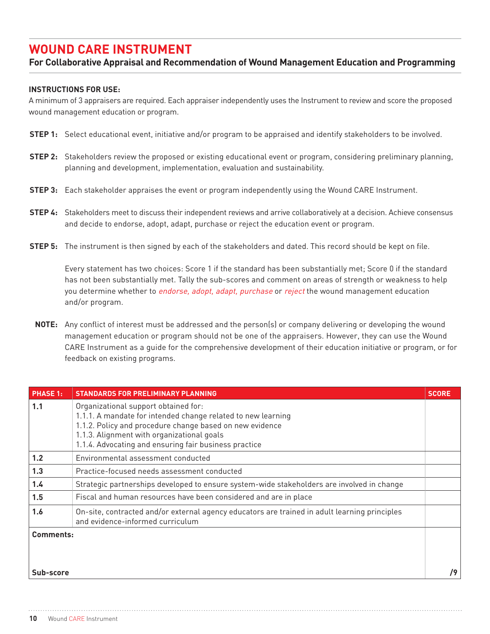# **Wound CARE Instrument**

#### **For Collaborative Appraisal and Recommendation of Wound Management Education and Programming**

#### **Instructions for Use:**

A minimum of 3 appraisers are required. Each appraiser independently uses the Instrument to review and score the proposed wound management education or program.

- **STEP 1:** Select educational event, initiative and/or program to be appraised and identify stakeholders to be involved.
- **STEP 2:** Stakeholders review the proposed or existing educational event or program, considering preliminary planning, planning and development, implementation, evaluation and sustainability.
- **STEP 3:** Each stakeholder appraises the event or program independently using the Wound CARE Instrument.
- **STEP 4:** Stakeholders meet to discuss their independent reviews and arrive collaboratively at a decision. Achieve consensus and decide to endorse, adopt, adapt, purchase or reject the education event or program.
- **Step 5:** The instrument is then signed by each of the stakeholders and dated. This record should be kept on file.

Every statement has two choices: Score 1 if the standard has been substantially met; Score 0 if the standard has not been substantially met. Tally the sub-scores and comment on areas of strength or weakness to help you determine whether to endorse, adopt, adapt, purchase or reject the wound management education and/or program.

**NOTE:** Any conflict of interest must be addressed and the person(s) or company delivering or developing the wound management education or program should not be one of the appraisers. However, they can use the Wound CARE Instrument as a guide for the comprehensive development of their education initiative or program, or for feedback on existing programs.

| <b>PHASE 1:</b> | <b>STANDARDS FOR PRELIMINARY PLANNING</b>                                                                                                                                                                                                                               | <b>SCORE</b> |
|-----------------|-------------------------------------------------------------------------------------------------------------------------------------------------------------------------------------------------------------------------------------------------------------------------|--------------|
| 1.1             | Organizational support obtained for:<br>1.1.1. A mandate for intended change related to new learning<br>1.1.2. Policy and procedure change based on new evidence<br>1.1.3. Alignment with organizational goals<br>1.1.4. Advocating and ensuring fair business practice |              |
| 1.2             | Environmental assessment conducted                                                                                                                                                                                                                                      |              |
| 1.3             | Practice-focused needs assessment conducted                                                                                                                                                                                                                             |              |
| 1.4             | Strategic partnerships developed to ensure system-wide stakeholders are involved in change                                                                                                                                                                              |              |
| 1.5             | Fiscal and human resources have been considered and are in place                                                                                                                                                                                                        |              |
| 1.6             | On-site, contracted and/or external agency educators are trained in adult learning principles<br>and evidence-informed curriculum                                                                                                                                       |              |
| Comments:       |                                                                                                                                                                                                                                                                         |              |
| Sub-score       |                                                                                                                                                                                                                                                                         | /9           |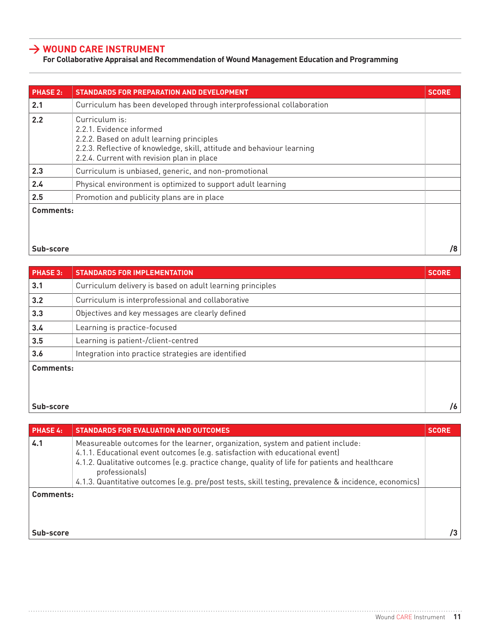## **> Wound CARE Instrument**

### **For Collaborative Appraisal and Recommendation of Wound Management Education and Programming**

| <b>PHASE 2:</b> | STANDARDS FOR PREPARATION AND DEVELOPMENT                                                                                                                                                                       | <b>SCORE</b> |
|-----------------|-----------------------------------------------------------------------------------------------------------------------------------------------------------------------------------------------------------------|--------------|
| 2.1             | Curriculum has been developed through interprofessional collaboration                                                                                                                                           |              |
| 2.2             | Curriculum is:<br>2.2.1. Evidence informed<br>2.2.2. Based on adult learning principles<br>2.2.3. Reflective of knowledge, skill, attitude and behaviour learning<br>2.2.4. Current with revision plan in place |              |
| 2.3             | Curriculum is unbiased, generic, and non-promotional                                                                                                                                                            |              |
| 2.4             | Physical environment is optimized to support adult learning                                                                                                                                                     |              |
| 2.5             | Promotion and publicity plans are in place                                                                                                                                                                      |              |
| Comments:       |                                                                                                                                                                                                                 |              |

**Sub-score /8**

| <b>PHASE 3:</b> | <b>STANDARDS FOR IMPLEMENTATION</b>                       | <b>SCORE</b> |
|-----------------|-----------------------------------------------------------|--------------|
| 3.1             | Curriculum delivery is based on adult learning principles |              |
| 3.2             | Curriculum is interprofessional and collaborative         |              |
| 3.3             | Objectives and key messages are clearly defined           |              |
| 3.4             | Learning is practice-focused                              |              |
| 3.5             | Learning is patient-/client-centred                       |              |
| 3.6             | Integration into practice strategies are identified       |              |
| Comments:       |                                                           |              |
|                 |                                                           |              |
|                 |                                                           |              |
| Sub-score       |                                                           | /6           |

| <b>PHASE 4:</b> | STANDARDS FOR EVALUATION AND OUTCOMES                                                                                                                                                                                                                                                                                                                                                       | <b>SCORE</b> |
|-----------------|---------------------------------------------------------------------------------------------------------------------------------------------------------------------------------------------------------------------------------------------------------------------------------------------------------------------------------------------------------------------------------------------|--------------|
| 4.1             | Measureable outcomes for the learner, organization, system and patient include:<br>4.1.1. Educational event outcomes (e.g. satisfaction with educational event)<br>4.1.2. Qualitative outcomes (e.g. practice change, quality of life for patients and healthcare<br>professionals)<br>4.1.3. Quantitative outcomes (e.g. pre/post tests, skill testing, prevalence & incidence, economics) |              |
| Comments:       |                                                                                                                                                                                                                                                                                                                                                                                             |              |
| Sub-score       |                                                                                                                                                                                                                                                                                                                                                                                             | /3           |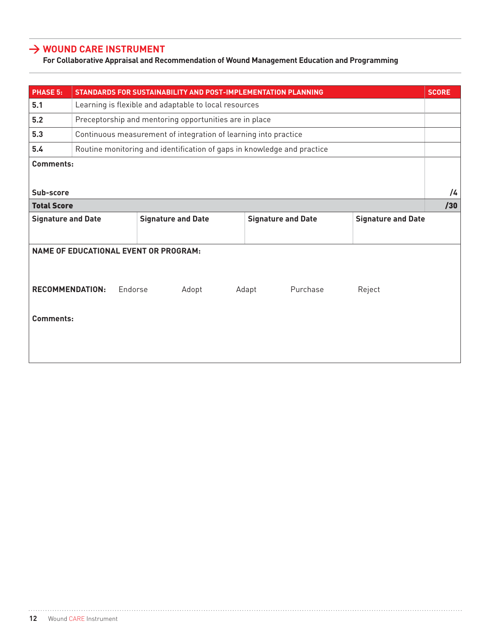## **> Wound CARE Instrument**

#### **For Collaborative Appraisal and Recommendation of Wound Management Education and Programming**

| <b>PHASE 5:</b>                 |                                                       |         | STANDARDS FOR SUSTAINABILITY AND POST-IMPLEMENTATION PLANNING           |       |                           |          |        |                           | <b>SCORE</b> |
|---------------------------------|-------------------------------------------------------|---------|-------------------------------------------------------------------------|-------|---------------------------|----------|--------|---------------------------|--------------|
| 5.1                             | Learning is flexible and adaptable to local resources |         |                                                                         |       |                           |          |        |                           |              |
| 5.2                             |                                                       |         | Preceptorship and mentoring opportunities are in place                  |       |                           |          |        |                           |              |
| 5.3                             |                                                       |         | Continuous measurement of integration of learning into practice         |       |                           |          |        |                           |              |
| 5.4                             |                                                       |         | Routine monitoring and identification of gaps in knowledge and practice |       |                           |          |        |                           |              |
| <b>Comments:</b>                |                                                       |         |                                                                         |       |                           |          |        |                           |              |
| Sub-score<br><b>Total Score</b> |                                                       |         |                                                                         |       |                           |          |        |                           | /4<br>/30    |
|                                 |                                                       |         |                                                                         |       |                           |          |        |                           |              |
| <b>Signature and Date</b>       |                                                       |         | <b>Signature and Date</b>                                               |       | <b>Signature and Date</b> |          |        | <b>Signature and Date</b> |              |
|                                 | <b>NAME OF EDUCATIONAL EVENT OR PROGRAM:</b>          |         |                                                                         |       |                           |          |        |                           |              |
| <b>RECOMMENDATION:</b>          |                                                       | Endorse | Adopt                                                                   | Adapt |                           | Purchase | Reject |                           |              |
| Comments:                       |                                                       |         |                                                                         |       |                           |          |        |                           |              |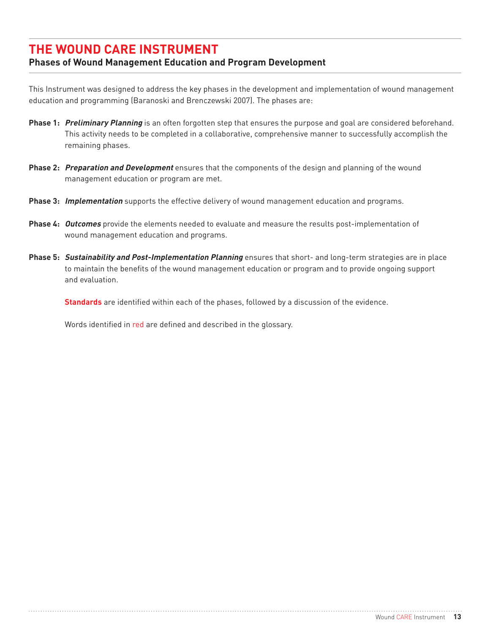# **The Wound CARE Instrument**

## **Phases of Wound Management Education and Program Development**

This Instrument was designed to address the key phases in the development and implementation of wound management education and programming (Baranoski and Brenczewski 2007). The phases are:

- **Phase 1: Preliminary Planning** is an often forgotten step that ensures the purpose and goal are considered beforehand. This activity needs to be completed in a collaborative, comprehensive manner to successfully accomplish the remaining phases.
- **Phase 2: Preparation and Development** ensures that the components of the design and planning of the wound management education or program are met.
- **Phase 3: Implementation** supports the effective delivery of wound management education and programs.
- **Phase 4: Outcomes** provide the elements needed to evaluate and measure the results post-implementation of wound management education and programs.
- **Phase 5: Sustainability and Post-Implementation Planning** ensures that short- and long-term strategies are in place to maintain the benefits of the wound management education or program and to provide ongoing support and evaluation.

**Standards** are identified within each of the phases, followed by a discussion of the evidence.

Words identified in red are defined and described in the glossary.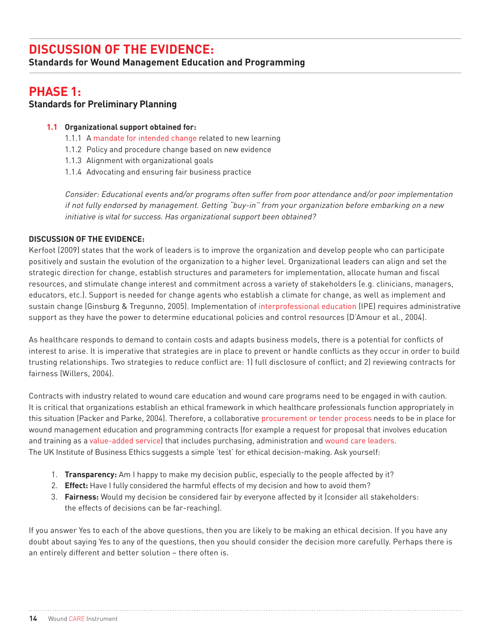# **Discussion of the Evidence:**

**Standards for Wound Management Education and Programming** 

## **Phase 1: Standards for Preliminary Planning**

#### **1.1 Organizational support obtained for:**

- 1.1.1 A mandate for intended change related to new learning
- 1.1.2 Policy and procedure change based on new evidence
- 1.1.3 Alignment with organizational goals
- 1.1.4 Advocating and ensuring fair business practice

Consider: Educational events and/or programs often suffer from poor attendance and/or poor implementation if not fully endorsed by management. Getting "buy-in" from your organization before embarking on a new initiative is vital for success. Has organizational support been obtained?

#### **Discussion of the Evidence:**

Kerfoot (2009) states that the work of leaders is to improve the organization and develop people who can participate positively and sustain the evolution of the organization to a higher level. Organizational leaders can align and set the strategic direction for change, establish structures and parameters for implementation, allocate human and fiscal resources, and stimulate change interest and commitment across a variety of stakeholders (e.g. clinicians, managers, educators, etc.). Support is needed for change agents who establish a climate for change, as well as implement and sustain change (Ginsburg & Tregunno, 2005). Implementation of interprofessional education (IPE) requires administrative support as they have the power to determine educational policies and control resources (D'Amour et al., 2004).

As healthcare responds to demand to contain costs and adapts business models, there is a potential for conflicts of interest to arise. It is imperative that strategies are in place to prevent or handle conflicts as they occur in order to build trusting relationships. Two strategies to reduce conflict are: 1) full disclosure of conflict; and 2) reviewing contracts for fairness (Willers, 2004).

Contracts with industry related to wound care education and wound care programs need to be engaged in with caution. It is critical that organizations establish an ethical framework in which healthcare professionals function appropriately in this situation (Packer and Parke, 2004). Therefore, a collaborative procurement or tender process needs to be in place for wound management education and programming contracts (for example a request for proposal that involves education and training as a value-added service) that includes purchasing, administration and wound care leaders. The UK Institute of Business Ethics suggests a simple 'test' for ethical decision-making. Ask yourself:

- 1. **Transparency:** Am I happy to make my decision public, especially to the people affected by it?
- 2. **Effect:** Have I fully considered the harmful effects of my decision and how to avoid them?
- 3. **Fairness:** Would my decision be considered fair by everyone affected by it (consider all stakeholders: the effects of decisions can be far-reaching).

If you answer Yes to each of the above questions, then you are likely to be making an ethical decision. If you have any doubt about saying Yes to any of the questions, then you should consider the decision more carefully. Perhaps there is an entirely different and better solution – there often is.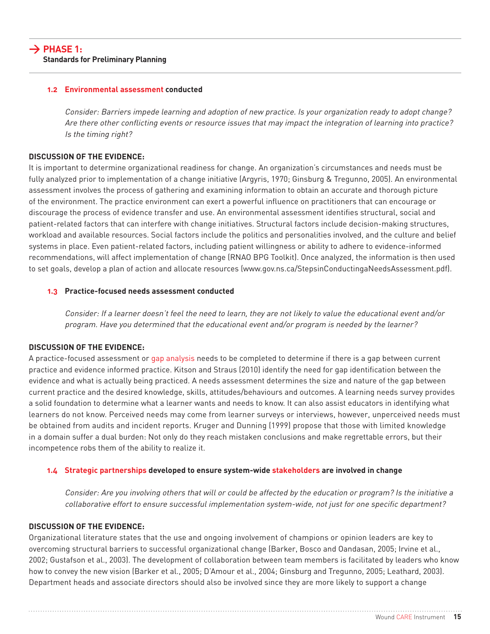#### **1.2 Environmental assessment conducted**

Consider: Barriers impede learning and adoption of new practice. Is your organization ready to adopt change? Are there other conflicting events or resource issues that may impact the integration of learning into practice? Is the timing right?

#### **Discussion of the Evidence:**

It is important to determine organizational readiness for change. An organization's circumstances and needs must be fully analyzed prior to implementation of a change initiative (Argyris, 1970; Ginsburg & Tregunno, 2005). An environmental assessment involves the process of gathering and examining information to obtain an accurate and thorough picture of the environment. The practice environment can exert a powerful influence on practitioners that can encourage or discourage the process of evidence transfer and use. An environmental assessment identifies structural, social and patient-related factors that can interfere with change initiatives. Structural factors include decision-making structures, workload and available resources. Social factors include the politics and personalities involved, and the culture and belief systems in place. Even patient-related factors, including patient willingness or ability to adhere to evidence-informed recommendations, will affect implementation of change (RNAO BPG Toolkit). Once analyzed, the information is then used to set goals, develop a plan of action and allocate resources (www.gov.ns.ca/StepsinConductingaNeedsAssessment.pdf).

#### **1.3 Practice-focused needs assessment conducted**

Consider: If a learner doesn't feel the need to learn, they are not likely to value the educational event and/or program. Have you determined that the educational event and/or program is needed by the learner?

#### **Discussion of the Evidence:**

A practice-focused assessment or gap analysis needs to be completed to determine if there is a gap between current practice and evidence informed practice. Kitson and Straus (2010) identify the need for gap identification between the evidence and what is actually being practiced. A needs assessment determines the size and nature of the gap between current practice and the desired knowledge, skills, attitudes/behaviours and outcomes. A learning needs survey provides a solid foundation to determine what a learner wants and needs to know. It can also assist educators in identifying what learners do not know. Perceived needs may come from learner surveys or interviews, however, unperceived needs must be obtained from audits and incident reports. Kruger and Dunning (1999) propose that those with limited knowledge in a domain suffer a dual burden: Not only do they reach mistaken conclusions and make regrettable errors, but their incompetence robs them of the ability to realize it.

#### **1.4 Strategic partnerships developed to ensure system-wide stakeholders are involved in change**

Consider: Are you involving others that will or could be affected by the education or program? Is the initiative a collaborative effort to ensure successful implementation system-wide, not just for one specific department?

#### **Discussion of the Evidence:**

Organizational literature states that the use and ongoing involvement of champions or opinion leaders are key to overcoming structural barriers to successful organizational change (Barker, Bosco and Oandasan, 2005; Irvine et al., 2002; Gustafson et al., 2003). The development of collaboration between team members is facilitated by leaders who know how to convey the new vision (Barker et al., 2005; D'Amour et al., 2004; Ginsburg and Tregunno, 2005; Leathard, 2003). Department heads and associate directors should also be involved since they are more likely to support a change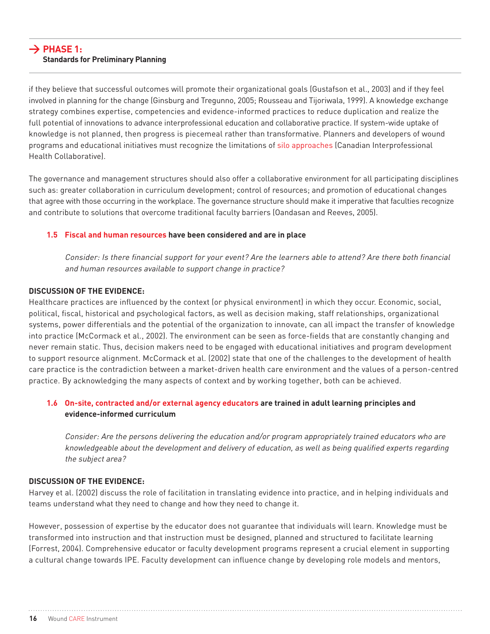#### **> Phase 1: Standards for Preliminary Planning**

if they believe that successful outcomes will promote their organizational goals (Gustafson et al., 2003) and if they feel involved in planning for the change (Ginsburg and Tregunno, 2005; Rousseau and Tijoriwala, 1999). A knowledge exchange strategy combines expertise, competencies and evidence-informed practices to reduce duplication and realize the full potential of innovations to advance interprofessional education and collaborative practice. If system-wide uptake of knowledge is not planned, then progress is piecemeal rather than transformative. Planners and developers of wound programs and educational initiatives must recognize the limitations of silo approaches (Canadian Interprofessional Health Collaborative).

The governance and management structures should also offer a collaborative environment for all participating disciplines such as: greater collaboration in curriculum development; control of resources; and promotion of educational changes that agree with those occurring in the workplace. The governance structure should make it imperative that faculties recognize and contribute to solutions that overcome traditional faculty barriers (Oandasan and Reeves, 2005).

#### **1.5 Fiscal and human resources have been considered and are in place**

Consider: Is there financial support for your event? Are the learners able to attend? Are there both financial and human resources available to support change in practice?

#### **Discussion of the Evidence:**

Healthcare practices are influenced by the context (or physical environment) in which they occur. Economic, social, political, fiscal, historical and psychological factors, as well as decision making, staff relationships, organizational systems, power differentials and the potential of the organization to innovate, can all impact the transfer of knowledge into practice (McCormack et al., 2002). The environment can be seen as force-fields that are constantly changing and never remain static. Thus, decision makers need to be engaged with educational initiatives and program development to support resource alignment. McCormack et al. (2002) state that one of the challenges to the development of health care practice is the contradiction between a market-driven health care environment and the values of a person-centred practice. By acknowledging the many aspects of context and by working together, both can be achieved.

#### **1.6 On-site, contracted and/or external agency educators are trained in adult learning principles and evidence-informed curriculum**

Consider: Are the persons delivering the education and/or program appropriately trained educators who are knowledgeable about the development and delivery of education, as well as being qualified experts regarding the subject area?

#### **Discussion of the Evidence:**

Harvey et al. (2002) discuss the role of facilitation in translating evidence into practice, and in helping individuals and teams understand what they need to change and how they need to change it.

However, possession of expertise by the educator does not guarantee that individuals will learn. Knowledge must be transformed into instruction and that instruction must be designed, planned and structured to facilitate learning (Forrest, 2004). Comprehensive educator or faculty development programs represent a crucial element in supporting a cultural change towards IPE. Faculty development can influence change by developing role models and mentors,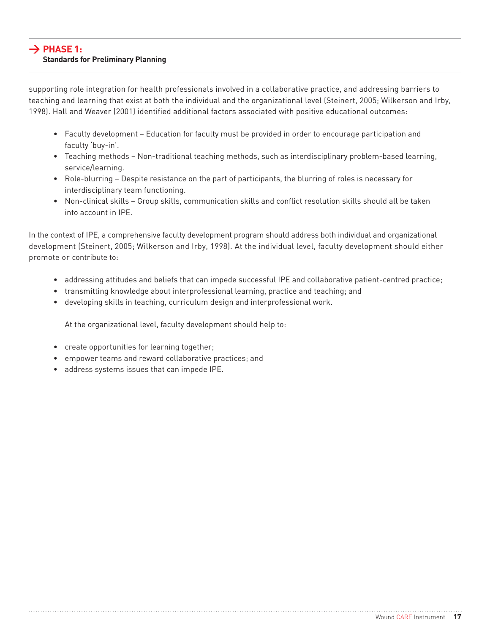#### **> Phase 1: Standards for Preliminary Planning**

supporting role integration for health professionals involved in a collaborative practice, and addressing barriers to teaching and learning that exist at both the individual and the organizational level (Steinert, 2005; Wilkerson and Irby, 1998). Hall and Weaver (2001) identified additional factors associated with positive educational outcomes:

- Faculty development Education for faculty must be provided in order to encourage participation and faculty 'buy-in'.
- Teaching methods Non-traditional teaching methods, such as interdisciplinary problem-based learning, service/learning.
- Role-blurring Despite resistance on the part of participants, the blurring of roles is necessary for interdisciplinary team functioning.
- Non-clinical skills Group skills, communication skills and conflict resolution skills should all be taken into account in IPE.

In the context of IPE, a comprehensive faculty development program should address both individual and organizational development (Steinert, 2005; Wilkerson and Irby, 1998). At the individual level, faculty development should either promote or contribute to:

- addressing attitudes and beliefs that can impede successful IPE and collaborative patient-centred practice;
- transmitting knowledge about interprofessional learning, practice and teaching; and
- developing skills in teaching, curriculum design and interprofessional work.

At the organizational level, faculty development should help to:

- create opportunities for learning together;
- empower teams and reward collaborative practices; and
- address systems issues that can impede IPE.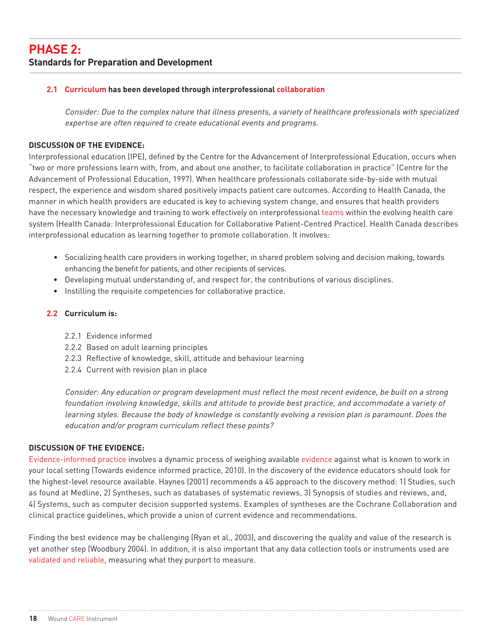#### **2.1 Curriculum has been developed through interprofessional collaboration**

Consider: Due to the complex nature that illness presents, a variety of healthcare professionals with specialized expertise are often required to create educational events and programs.

#### **Discussion of the Evidence:**

Interprofessional education (IPE), defined by the Centre for the Advancement of Interprofessional Education, occurs when "two or more professions learn with, from, and about one another, to facilitate collaboration in practice" (Centre for the Advancement of Professional Education, 1997). When healthcare professionals collaborate side-by-side with mutual respect, the experience and wisdom shared positively impacts patient care outcomes. According to Health Canada, the manner in which health providers are educated is key to achieving system change, and ensures that health providers have the necessary knowledge and training to work effectively on interprofessional teams within the evolving health care system (Health Canada: Interprofessional Education for Collaborative Patient-Centred Practice). Health Canada describes interprofessional education as learning together to promote collaboration. It involves:

- Socializing health care providers in working together, in shared problem solving and decision making, towards enhancing the benefit for patients, and other recipients of services.
- Developing mutual understanding of, and respect for, the contributions of various disciplines.
- Instilling the requisite competencies for collaborative practice.

#### **2.2 Curriculum is:**

- 2.2.1 Evidence informed
- 2.2.2 Based on adult learning principles
- 2.2.3 Reflective of knowledge, skill, attitude and behaviour learning
- 2.2.4 Current with revision plan in place

Consider: Any education or program development must reflect the most recent evidence, be built on a strong foundation involving knowledge, skills and attitude to provide best practice, and accommodate a variety of learning styles. Because the body of knowledge is constantly evolving a revision plan is paramount. Does the education and/or program curriculum reflect these points?

#### **Discussion of the Evidence:**

Evidence-informed practice involves a dynamic process of weighing available evidence against what is known to work in your local setting (Towards evidence informed practice, 2010). In the discovery of the evidence educators should look for the highest-level resource available. Haynes (2001) recommends a 4S approach to the discovery method: 1) Studies, such as found at Medline, 2) Syntheses, such as databases of systematic reviews, 3) Synopsis of studies and reviews, and, 4) Systems, such as computer decision supported systems. Examples of syntheses are the Cochrane Collaboration and clinical practice guidelines, which provide a union of current evidence and recommendations.

Finding the best evidence may be challenging (Ryan et al., 2003), and discovering the quality and value of the research is yet another step (Woodbury 2004). In addition, it is also important that any data collection tools or instruments used are validated and reliable, measuring what they purport to measure.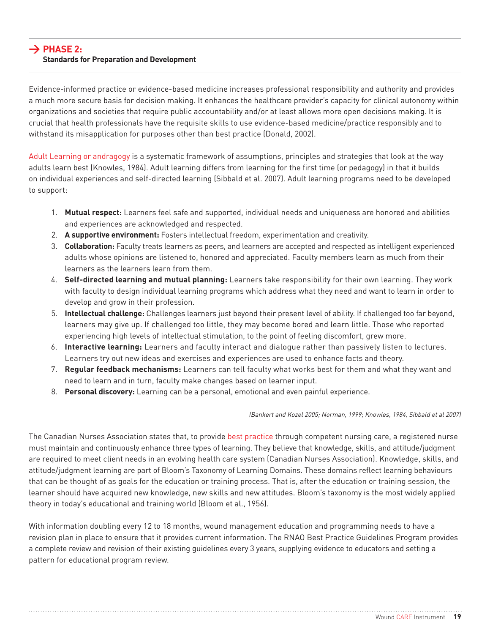#### **> Phase 2: Standards for Preparation and Development**

Evidence-informed practice or evidence-based medicine increases professional responsibility and authority and provides a much more secure basis for decision making. It enhances the healthcare provider's capacity for clinical autonomy within organizations and societies that require public accountability and/or at least allows more open decisions making. It is crucial that health professionals have the requisite skills to use evidence-based medicine/practice responsibly and to withstand its misapplication for purposes other than best practice (Donald, 2002).

Adult Learning or andragogy is a systematic framework of assumptions, principles and strategies that look at the way adults learn best (Knowles, 1984). Adult learning differs from learning for the first time (or pedagogy) in that it builds on individual experiences and self-directed learning (Sibbald et al. 2007). Adult learning programs need to be developed to support:

- 1. **Mutual respect:** Learners feel safe and supported, individual needs and uniqueness are honored and abilities and experiences are acknowledged and respected.
- 2. **A supportive environment:** Fosters intellectual freedom, experimentation and creativity.
- 3. **Collaboration:** Faculty treats learners as peers, and learners are accepted and respected as intelligent experienced adults whose opinions are listened to, honored and appreciated. Faculty members learn as much from their learners as the learners learn from them.
- 4. **Self-directed learning and mutual planning:** Learners take responsibility for their own learning. They work with faculty to design individual learning programs which address what they need and want to learn in order to develop and grow in their profession.
- 5. **Intellectual challenge:** Challenges learners just beyond their present level of ability. If challenged too far beyond, learners may give up. If challenged too little, they may become bored and learn little. Those who reported experiencing high levels of intellectual stimulation, to the point of feeling discomfort, grew more.
- 6. **Interactive learning:** Learners and faculty interact and dialogue rather than passively listen to lectures. Learners try out new ideas and exercises and experiences are used to enhance facts and theory.
- 7. **Regular feedback mechanisms:** Learners can tell faculty what works best for them and what they want and need to learn and in turn, faculty make changes based on learner input.
- 8. **Personal discovery:** Learning can be a personal, emotional and even painful experience.

(Bankert and Kozel 2005; Norman, 1999; Knowles, 1984, Sibbald et al 2007)

The Canadian Nurses Association states that, to provide best practice through competent nursing care, a registered nurse must maintain and continuously enhance three types of learning. They believe that knowledge, skills, and attitude/judgment are required to meet client needs in an evolving health care system (Canadian Nurses Association). Knowledge, skills, and attitude/judgment learning are part of Bloom's Taxonomy of Learning Domains. These domains reflect learning behaviours that can be thought of as goals for the education or training process. That is, after the education or training session, the learner should have acquired new knowledge, new skills and new attitudes. Bloom's taxonomy is the most widely applied theory in today's educational and training world (Bloom et al., 1956).

With information doubling every 12 to 18 months, wound management education and programming needs to have a revision plan in place to ensure that it provides current information. The RNAO Best Practice Guidelines Program provides a complete review and revision of their existing guidelines every 3 years, supplying evidence to educators and setting a pattern for educational program review.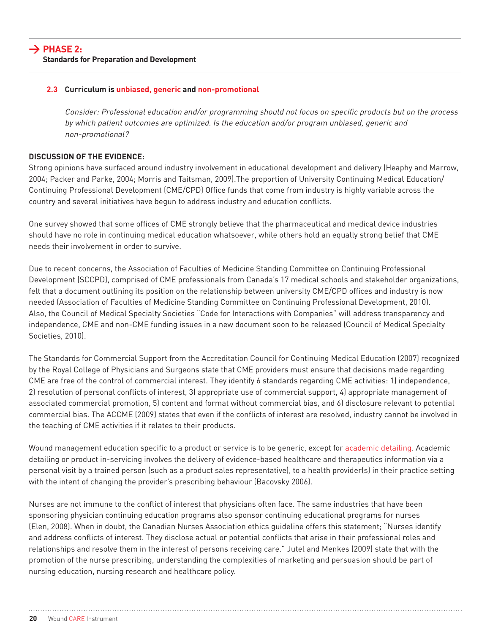#### **2.3 Curriculum is unbiased, generic and non-promotional**

Consider: Professional education and/or programming should not focus on specific products but on the process by which patient outcomes are optimized. Is the education and/or program unbiased, generic and non-promotional?

#### **Discussion of the Evidence:**

Strong opinions have surfaced around industry involvement in educational development and delivery (Heaphy and Marrow, 2004; Packer and Parke, 2004; Morris and Taitsman, 2009).The proportion of University Continuing Medical Education/ Continuing Professional Development (CME/CPD) Office funds that come from industry is highly variable across the country and several initiatives have begun to address industry and education conflicts.

One survey showed that some offices of CME strongly believe that the pharmaceutical and medical device industries should have no role in continuing medical education whatsoever, while others hold an equally strong belief that CME needs their involvement in order to survive.

Due to recent concerns, the Association of Faculties of Medicine Standing Committee on Continuing Professional Development (SCCPD), comprised of CME professionals from Canada's 17 medical schools and stakeholder organizations, felt that a document outlining its position on the relationship between university CME/CPD offices and industry is now needed (Association of Faculties of Medicine Standing Committee on Continuing Professional Development, 2010). Also, the Council of Medical Specialty Societies "Code for Interactions with Companies" will address transparency and independence, CME and non-CME funding issues in a new document soon to be released (Council of Medical Specialty Societies, 2010).

The Standards for Commercial Support from the Accreditation Council for Continuing Medical Education (2007) recognized by the Royal College of Physicians and Surgeons state that CME providers must ensure that decisions made regarding CME are free of the control of commercial interest. They identify 6 standards regarding CME activities: 1) independence, 2) resolution of personal conflicts of interest, 3) appropriate use of commercial support, 4) appropriate management of associated commercial promotion, 5) content and format without commercial bias, and 6) disclosure relevant to potential commercial bias. The ACCME (2009) states that even if the conflicts of interest are resolved, industry cannot be involved in the teaching of CME activities if it relates to their products.

Wound management education specific to a product or service is to be generic, except for academic detailing. Academic detailing or product in-servicing involves the delivery of evidence-based healthcare and therapeutics information via a personal visit by a trained person (such as a product sales representative), to a health provider(s) in their practice setting with the intent of changing the provider's prescribing behaviour (Bacovsky 2006).

Nurses are not immune to the conflict of interest that physicians often face. The same industries that have been sponsoring physician continuing education programs also sponsor continuing educational programs for nurses (Elen, 2008). When in doubt, the Canadian Nurses Association ethics guideline offers this statement; "Nurses identify and address conflicts of interest. They disclose actual or potential conflicts that arise in their professional roles and relationships and resolve them in the interest of persons receiving care." Jutel and Menkes (2009) state that with the promotion of the nurse prescribing, understanding the complexities of marketing and persuasion should be part of nursing education, nursing research and healthcare policy.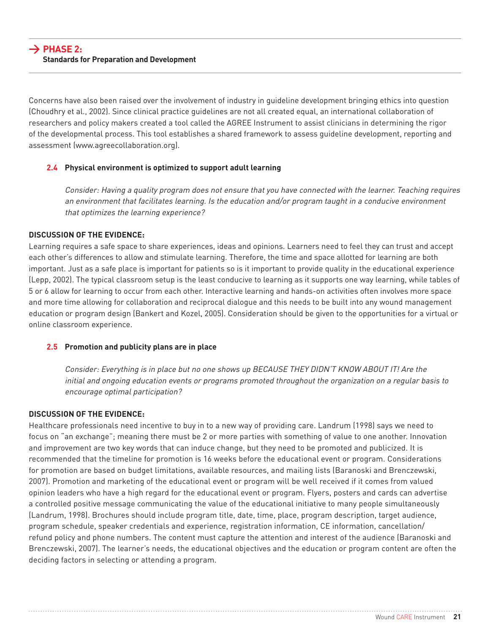Concerns have also been raised over the involvement of industry in guideline development bringing ethics into question (Choudhry et al., 2002). Since clinical practice guidelines are not all created equal, an international collaboration of researchers and policy makers created a tool called the AGREE Instrument to assist clinicians in determining the rigor of the developmental process. This tool establishes a shared framework to assess guideline development, reporting and assessment (www.agreecollaboration.org).

#### **2.4 Physical environment is optimized to support adult learning**

Consider: Having a quality program does not ensure that you have connected with the learner. Teaching requires an environment that facilitates learning. Is the education and/or program taught in a conducive environment that optimizes the learning experience?

#### **Discussion of the Evidence:**

Learning requires a safe space to share experiences, ideas and opinions. Learners need to feel they can trust and accept each other's differences to allow and stimulate learning. Therefore, the time and space allotted for learning are both important. Just as a safe place is important for patients so is it important to provide quality in the educational experience (Lepp, 2002). The typical classroom setup is the least conducive to learning as it supports one way learning, while tables of 5 or 6 allow for learning to occur from each other. Interactive learning and hands-on activities often involves more space and more time allowing for collaboration and reciprocal dialogue and this needs to be built into any wound management education or program design (Bankert and Kozel, 2005). Consideration should be given to the opportunities for a virtual or online classroom experience.

#### **2.5 Promotion and publicity plans are in place**

Consider: Everything is in place but no one shows up BECAUSE THEY DIDN'T KNOW ABOUT IT! Are the initial and ongoing education events or programs promoted throughout the organization on a regular basis to encourage optimal participation?

#### **Discussion of the Evidence:**

Healthcare professionals need incentive to buy in to a new way of providing care. Landrum (1998) says we need to focus on "an exchange"; meaning there must be 2 or more parties with something of value to one another. Innovation and improvement are two key words that can induce change, but they need to be promoted and publicized. It is recommended that the timeline for promotion is 16 weeks before the educational event or program. Considerations for promotion are based on budget limitations, available resources, and mailing lists (Baranoski and Brenczewski, 2007). Promotion and marketing of the educational event or program will be well received if it comes from valued opinion leaders who have a high regard for the educational event or program. Flyers, posters and cards can advertise a controlled positive message communicating the value of the educational initiative to many people simultaneously (Landrum, 1998). Brochures should include program title, date, time, place, program description, target audience, program schedule, speaker credentials and experience, registration information, CE information, cancellation/ refund policy and phone numbers. The content must capture the attention and interest of the audience (Baranoski and Brenczewski, 2007). The learner's needs, the educational objectives and the education or program content are often the deciding factors in selecting or attending a program.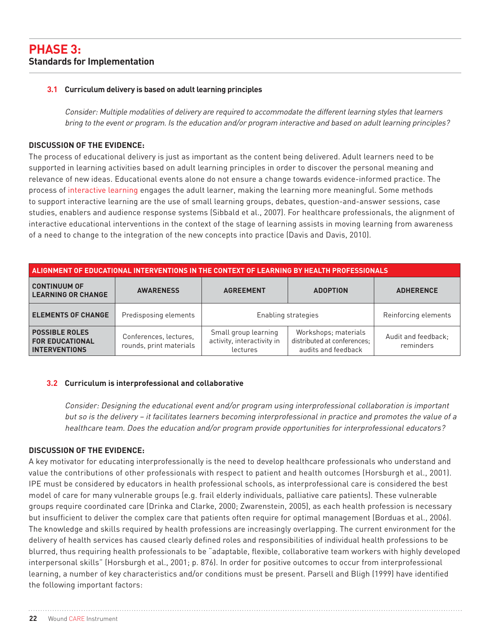#### **3.1 Curriculum delivery is based on adult learning principles**

Consider: Multiple modalities of delivery are required to accommodate the different learning styles that learners bring to the event or program. Is the education and/or program interactive and based on adult learning principles?

#### **Discussion of the Evidence:**

The process of educational delivery is just as important as the content being delivered. Adult learners need to be supported in learning activities based on adult learning principles in order to discover the personal meaning and relevance of new ideas. Educational events alone do not ensure a change towards evidence-informed practice. The process of interactive learning engages the adult learner, making the learning more meaningful. Some methods to support interactive learning are the use of small learning groups, debates, question-and-answer sessions, case studies, enablers and audience response systems (Sibbald et al., 2007). For healthcare professionals, the alignment of interactive educational interventions in the context of the stage of learning assists in moving learning from awareness of a need to change to the integration of the new concepts into practice (Davis and Davis, 2010).

| ALIGNMENT OF EDUCATIONAL INTERVENTIONS IN THE CONTEXT OF LEARNING BY HEALTH PROFESSIONALS |                                                   |                                                                |                                                                            |                                  |  |
|-------------------------------------------------------------------------------------------|---------------------------------------------------|----------------------------------------------------------------|----------------------------------------------------------------------------|----------------------------------|--|
| <b>CONTINUUM OF</b><br><b>LEARNING OR CHANGE</b>                                          | <b>AWARENESS</b>                                  | <b>AGREEMENT</b><br><b>ADOPTION</b>                            |                                                                            | <b>ADHERENCE</b>                 |  |
| <b>ELEMENTS OF CHANGE</b>                                                                 | Predisposing elements                             | Enabling strategies                                            |                                                                            | Reinforcing elements             |  |
| <b>POSSIBLE ROLES</b><br><b>FOR EDUCATIONAL</b><br><b>INTERVENTIONS</b>                   | Conferences, lectures,<br>rounds, print materials | Small group learning<br>activity, interactivity in<br>lectures | Workshops; materials<br>distributed at conferences;<br>audits and feedback | Audit and feedback:<br>reminders |  |

#### **3.2 Curriculum is interprofessional and collaborative**

Consider: Designing the educational event and/or program using interprofessional collaboration is important but so is the delivery – it facilitates learners becoming interprofessional in practice and promotes the value of a healthcare team. Does the education and/or program provide opportunities for interprofessional educators?

#### **Discussion of the Evidence:**

A key motivator for educating interprofessionally is the need to develop healthcare professionals who understand and value the contributions of other professionals with respect to patient and health outcomes (Horsburgh et al., 2001). IPE must be considered by educators in health professional schools, as interprofessional care is considered the best model of care for many vulnerable groups (e.g. frail elderly individuals, palliative care patients). These vulnerable groups require coordinated care (Drinka and Clarke, 2000; Zwarenstein, 2005), as each health profession is necessary but insufficient to deliver the complex care that patients often require for optimal management (Borduas et al., 2006). The knowledge and skills required by health professions are increasingly overlapping. The current environment for the delivery of health services has caused clearly defined roles and responsibilities of individual health professions to be blurred, thus requiring health professionals to be "adaptable, flexible, collaborative team workers with highly developed interpersonal skills" (Horsburgh et al., 2001; p. 876). In order for positive outcomes to occur from interprofessional learning, a number of key characteristics and/or conditions must be present. Parsell and Bligh (1999) have identified the following important factors: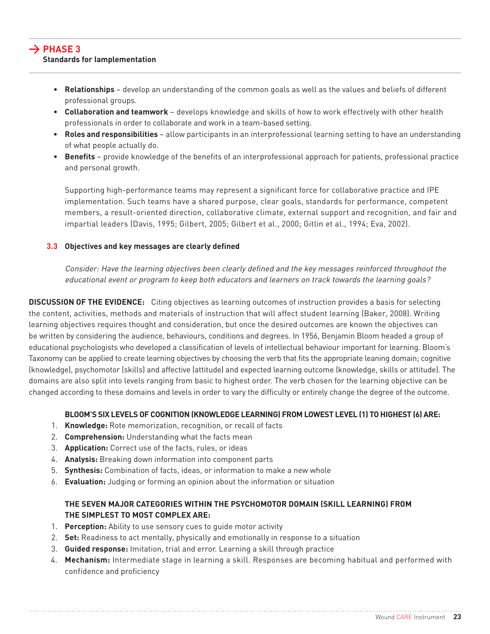- **Relationships** develop an understanding of the common goals as well as the values and beliefs of different professional groups.
- **Collaboration and teamwork** develops knowledge and skills of how to work effectively with other health professionals in order to collaborate and work in a team-based setting.
- **Roles and responsibilities** allow participants in an interprofessional learning setting to have an understanding of what people actually do.
- • **Benefits** provide knowledge of the benefits of an interprofessional approach for patients, professional practice and personal growth.

Supporting high-performance teams may represent a significant force for collaborative practice and IPE implementation. Such teams have a shared purpose, clear goals, standards for performance, competent members, a result-oriented direction, collaborative climate, external support and recognition, and fair and impartial leaders (Davis, 1995; Gilbert, 2005; Gilbert et al., 2000; Gitlin et al., 1994; Eva, 2002).

#### **3.3 Objectives and key messages are clearly defined**

Consider: Have the learning objectives been clearly defined and the key messages reinforced throughout the educational event or program to keep both educators and learners on track towards the learning goals?

**Discussion of the Evidence:** Citing objectives as learning outcomes of instruction provides a basis for selecting the content, activities, methods and materials of instruction that will affect student learning (Baker, 2008). Writing learning objectives requires thought and consideration, but once the desired outcomes are known the objectives can be written by considering the audience, behaviours, conditions and degrees. In 1956, Benjamin Bloom headed a group of educational psychologists who developed a classification of levels of intellectual behaviour important for learning. Bloom's Taxonomy can be applied to create learning objectives by choosing the verb that fits the appropriate leaning domain; cognitive (knowledge), psychomotor (skills) and affective (attitude) and expected learning outcome (knowledge, skills or attitude). The domains are also split into levels ranging from basic to highest order. The verb chosen for the learning objective can be changed according to these domains and levels in order to vary the difficulty or entirely change the degree of the outcome.

#### **Bloom's six levels of cognition (knowledge learning) from lowest level (1) to highest (6) are:**

- 1. **Knowledge:** Rote memorization, recognition, or recall of facts
- 2. **Comprehension:** Understanding what the facts mean
- 3. **Application:** Correct use of the facts, rules, or ideas
- 4. **Analysis:** Breaking down information into component parts
- 5. **Synthesis:** Combination of facts, ideas, or information to make a new whole
- 6. **Evaluation:** Judging or forming an opinion about the information or situation

#### **The seven major categories within the psychomotor domain (skill learning) from the simplest to most complex are:**

- 1. **Perception:** Ability to use sensory cues to guide motor activity
- 2. **Set:** Readiness to act mentally, physically and emotionally in response to a situation
- 3. **Guided response:** Imitation, trial and error. Learning a skill through practice
- 4. **Mechanism:** Intermediate stage in learning a skill. Responses are becoming habitual and performed with confidence and proficiency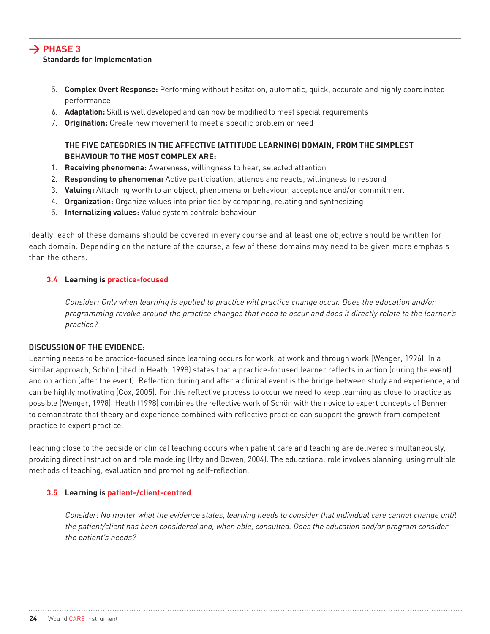- 5. **Complex Overt Response:** Performing without hesitation, automatic, quick, accurate and highly coordinated performance
- 6. **Adaptation:** Skill is well developed and can now be modified to meet special requirements
- 7. **Origination:** Create new movement to meet a specific problem or need

#### **The five categories in the affective (attitude learning) domain, from the simplest behaviour to the most complex are:**

- 1. **Receiving phenomena:** Awareness, willingness to hear, selected attention
- 2. **Responding to phenomena:** Active participation, attends and reacts, willingness to respond
- 3. **Valuing:** Attaching worth to an object, phenomena or behaviour, acceptance and/or commitment
- 4. **Organization:** Organize values into priorities by comparing, relating and synthesizing
- 5. **Internalizing values:** Value system controls behaviour

Ideally, each of these domains should be covered in every course and at least one objective should be written for each domain. Depending on the nature of the course, a few of these domains may need to be given more emphasis than the others.

#### **3.4 Learning is practice-focused**

Consider: Only when learning is applied to practice will practice change occur. Does the education and/or programming revolve around the practice changes that need to occur and does it directly relate to the learner's practice?

#### **Discussion of the Evidence:**

Learning needs to be practice-focused since learning occurs for work, at work and through work (Wenger, 1996). In a similar approach, Schön (cited in Heath, 1998) states that a practice-focused learner reflects in action (during the event) and on action (after the event). Reflection during and after a clinical event is the bridge between study and experience, and can be highly motivating (Cox, 2005). For this reflective process to occur we need to keep learning as close to practice as possible (Wenger, 1998). Heath (1998) combines the reflective work of Schön with the novice to expert concepts of Benner to demonstrate that theory and experience combined with reflective practice can support the growth from competent practice to expert practice.

Teaching close to the bedside or clinical teaching occurs when patient care and teaching are delivered simultaneously, providing direct instruction and role modeling (Irby and Bowen, 2004). The educational role involves planning, using multiple methods of teaching, evaluation and promoting self-reflection.

#### **3.5 Learning is patient-/client-centred**

Consider: No matter what the evidence states, learning needs to consider that individual care cannot change until the patient/client has been considered and, when able, consulted. Does the education and/or program consider the patient's needs?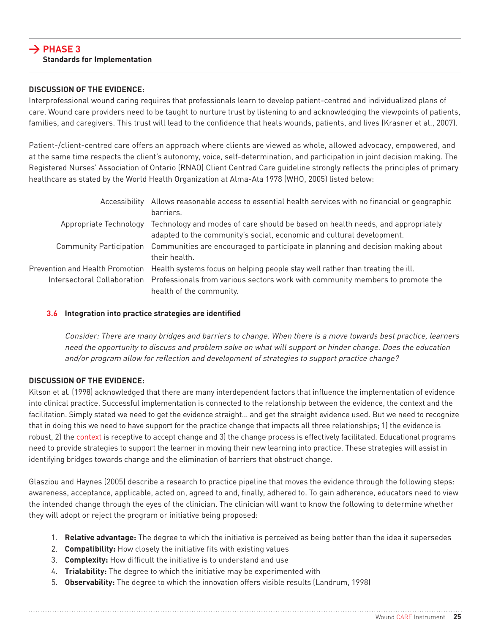#### **Discussion of the Evidence:**

Interprofessional wound caring requires that professionals learn to develop patient-centred and individualized plans of care. Wound care providers need to be taught to nurture trust by listening to and acknowledging the viewpoints of patients, families, and caregivers. This trust will lead to the confidence that heals wounds, patients, and lives (Krasner et al., 2007).

Patient-/client-centred care offers an approach where clients are viewed as whole, allowed advocacy, empowered, and at the same time respects the client's autonomy, voice, self-determination, and participation in joint decision making. The Registered Nurses' Association of Ontario (RNAO) Client Centred Care guideline strongly reflects the principles of primary healthcare as stated by the World Health Organization at Alma-Ata 1978 (WHO, 2005) listed below:

| Accessibility Allows reasonable access to essential health services with no financial or geographic            |
|----------------------------------------------------------------------------------------------------------------|
| barriers.                                                                                                      |
| Appropriate Technology Technology and modes of care should be based on health needs, and appropriately         |
| adapted to the community's social, economic and cultural development.                                          |
| Community Participation Communities are encouraged to participate in planning and decision making about        |
| their health.                                                                                                  |
| Prevention and Health Promotion Health systems focus on helping people stay well rather than treating the ill. |
| Intersectoral Collaboration Professionals from various sectors work with community members to promote the      |
| health of the community.                                                                                       |

#### **3.6 Integration into practice strategies are identified**

Consider: There are many bridges and barriers to change. When there is a move towards best practice, learners need the opportunity to discuss and problem solve on what will support or hinder change. Does the education and/or program allow for reflection and development of strategies to support practice change?

#### **Discussion of the Evidence:**

Kitson et al. (1998) acknowledged that there are many interdependent factors that influence the implementation of evidence into clinical practice. Successful implementation is connected to the relationship between the evidence, the context and the facilitation. Simply stated we need to get the evidence straight… and get the straight evidence used. But we need to recognize that in doing this we need to have support for the practice change that impacts all three relationships; 1) the evidence is robust, 2) the context is receptive to accept change and 3) the change process is effectively facilitated. Educational programs need to provide strategies to support the learner in moving their new learning into practice. These strategies will assist in identifying bridges towards change and the elimination of barriers that obstruct change.

Glasziou and Haynes (2005) describe a research to practice pipeline that moves the evidence through the following steps: awareness, acceptance, applicable, acted on, agreed to and, finally, adhered to. To gain adherence, educators need to view the intended change through the eyes of the clinician. The clinician will want to know the following to determine whether they will adopt or reject the program or initiative being proposed:

- 1. **Relative advantage:** The degree to which the initiative is perceived as being better than the idea it supersedes
- 2. **Compatibility:** How closely the initiative fits with existing values
- 3. **Complexity:** How difficult the initiative is to understand and use
- 4. **Trialability:** The degree to which the initiative may be experimented with
- 5. **Observability:** The degree to which the innovation offers visible results (Landrum, 1998)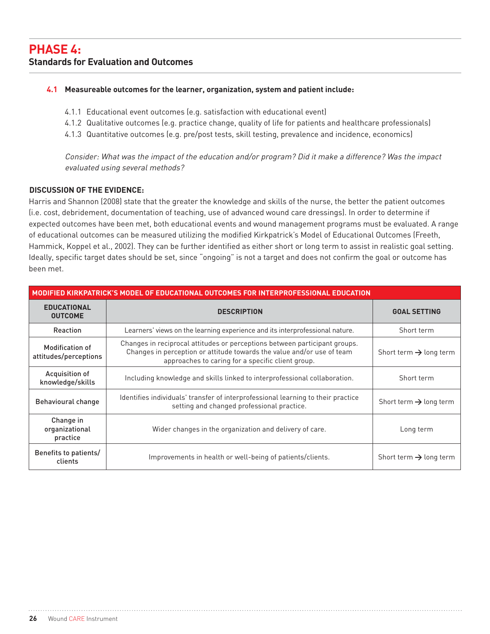#### **4.1 Measureable outcomes for the learner, organization, system and patient include:**

- 4.1.1 Educational event outcomes (e.g. satisfaction with educational event)
- 4.1.2 Qualitative outcomes (e.g. practice change, quality of life for patients and healthcare professionals)
- 4.1.3 Quantitative outcomes (e.g. pre/post tests, skill testing, prevalence and incidence, economics)

Consider: What was the impact of the education and/or program? Did it make a difference? Was the impact evaluated using several methods?

#### **Discussion of the Evidence:**

Harris and Shannon (2008) state that the greater the knowledge and skills of the nurse, the better the patient outcomes (i.e. cost, debridement, documentation of teaching, use of advanced wound care dressings). In order to determine if expected outcomes have been met, both educational events and wound management programs must be evaluated. A range of educational outcomes can be measured utilizing the modified Kirkpatrick's Model of Educational Outcomes (Freeth, Hammick, Koppel et al., 2002). They can be further identified as either short or long term to assist in realistic goal setting. Ideally, specific target dates should be set, since "ongoing" is not a target and does not confirm the goal or outcome has been met.

| MODIFIED KIRKPATRICK'S MODEL OF EDUCATIONAL OUTCOMES FOR INTERPROFESSIONAL EDUCATION |                                                                                                                                                                                                           |                                    |  |
|--------------------------------------------------------------------------------------|-----------------------------------------------------------------------------------------------------------------------------------------------------------------------------------------------------------|------------------------------------|--|
| <b>EDUCATIONAL</b><br><b>OUTCOME</b>                                                 | <b>DESCRIPTION</b>                                                                                                                                                                                        | <b>GOAL SETTING</b>                |  |
| <b>Reaction</b>                                                                      | Learners' views on the learning experience and its interprofessional nature.                                                                                                                              | Short term                         |  |
| <b>Modification of</b><br>attitudes/perceptions                                      | Changes in reciprocal attitudes or perceptions between participant groups.<br>Changes in perception or attitude towards the value and/or use of team<br>approaches to caring for a specific client group. | Short term $\rightarrow$ long term |  |
| Acquisition of<br>knowledge/skills                                                   | Including knowledge and skills linked to interprofessional collaboration.                                                                                                                                 | Short term                         |  |
| Behavioural change                                                                   | Identifies individuals' transfer of interprofessional learning to their practice<br>setting and changed professional practice.                                                                            | Short term $\rightarrow$ long term |  |
| Change in<br>organizational<br>practice                                              | Wider changes in the organization and delivery of care.                                                                                                                                                   | Long term                          |  |
| Benefits to patients/<br>clients                                                     | Improvements in health or well-being of patients/clients.                                                                                                                                                 | Short term $\rightarrow$ long term |  |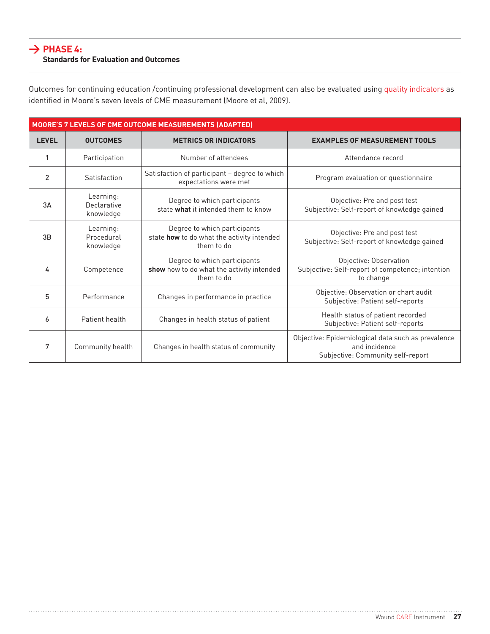#### **> Phase 4: Standards for Evaluation and Outcomes**

Outcomes for continuing education /continuing professional development can also be evaluated using quality indicators as identified in Moore's seven levels of CME measurement (Moore et al, 2009).

|              |                                       | MOORE'S 7 LEVELS OF CME OUTCOME MEASUREMENTS (ADAPTED)                                   |                                                                                                          |
|--------------|---------------------------------------|------------------------------------------------------------------------------------------|----------------------------------------------------------------------------------------------------------|
| <b>LEVEL</b> | <b>OUTCOMES</b>                       | <b>METRICS OR INDICATORS</b>                                                             | <b>EXAMPLES OF MEASUREMENT TOOLS</b>                                                                     |
| 1            | Participation                         | Number of attendees                                                                      | Attendance record                                                                                        |
| 2            | Satisfaction                          | Satisfaction of participant - degree to which<br>expectations were met                   | Program evaluation or questionnaire                                                                      |
| 3A           | Learning:<br>Declarative<br>knowledge | Degree to which participants<br>state what it intended them to know                      | Objective: Pre and post test<br>Subjective: Self-report of knowledge gained                              |
| 3B           | Learning:<br>Procedural<br>knowledge  | Degree to which participants<br>state how to do what the activity intended<br>them to do | Objective: Pre and post test<br>Subjective: Self-report of knowledge gained                              |
| 4            | Competence                            | Degree to which participants<br>show how to do what the activity intended<br>them to do  | Objective: Observation<br>Subjective: Self-report of competence; intention<br>to change                  |
| 5            | Performance                           | Changes in performance in practice                                                       | Objective: Observation or chart audit<br>Subjective: Patient self-reports                                |
| 6            | Patient health                        | Changes in health status of patient                                                      | Health status of patient recorded<br>Subjective: Patient self-reports                                    |
| 7            | Community health                      | Changes in health status of community                                                    | Objective: Epidemiological data such as prevalence<br>and incidence<br>Subjective: Community self-report |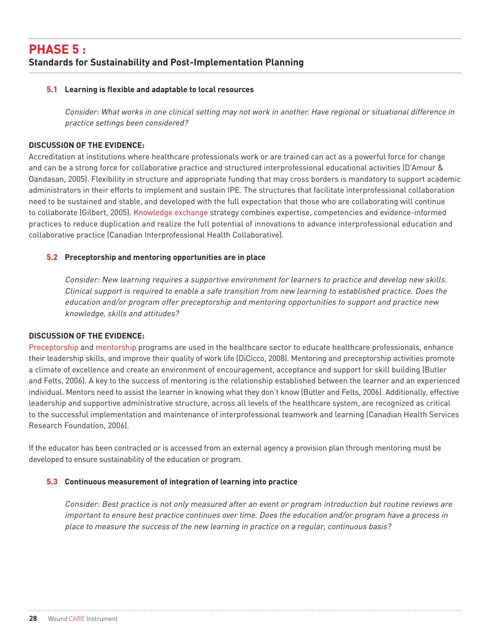## **Phase 5 : Standards for Sustainability and Post-Implementation Planning**

#### **5.1 Learning is flexible and adaptable to local resources**

Consider: What works in one clinical setting may not work in another. Have regional or situational difference in practice settings been considered?

#### **Discussion of the Evidence:**

Accreditation at institutions where healthcare professionals work or are trained can act as a powerful force for change and can be a strong force for collaborative practice and structured interprofessional educational activities (D'Amour & Oandasan, 2005). Flexibility in structure and appropriate funding that may cross borders is mandatory to support academic administrators in their efforts to implement and sustain IPE. The structures that facilitate interprofessional collaboration need to be sustained and stable, and developed with the full expectation that those who are collaborating will continue to collaborate (Gilbert, 2005). Knowledge exchange strategy combines expertise, competencies and evidence-informed practices to reduce duplication and realize the full potential of innovations to advance interprofessional education and collaborative practice (Canadian Interprofessional Health Collaborative).

#### **5.2 Preceptorship and mentoring opportunities are in place**

Consider: New learning requires a supportive environment for learners to practice and develop new skills. Clinical support is required to enable a safe transition from new learning to established practice. Does the education and/or program offer preceptorship and mentoring opportunities to support and practice new knowledge, skills and attitudes?

#### **Discussion of the Evidence:**

Preceptorship and mentorship programs are used in the healthcare sector to educate healthcare professionals, enhance their leadership skills, and improve their quality of work life (DiCicco, 2008). Mentoring and preceptorship activities promote a climate of excellence and create an environment of encouragement, acceptance and support for skill building (Butler and Felts, 2006). A key to the success of mentoring is the relationship established between the learner and an experienced individual. Mentors need to assist the learner in knowing what they don't know (Butler and Felts, 2006). Additionally, effective leadership and supportive administrative structure, across all levels of the healthcare system, are recognized as critical to the successful implementation and maintenance of interprofessional teamwork and learning (Canadian Health Services Research Foundation, 2006).

If the educator has been contracted or is accessed from an external agency a provision plan through mentoring must be developed to ensure sustainability of the education or program.

#### **5.3 Continuous measurement of integration of learning into practice**

Consider: Best practice is not only measured after an event or program introduction but routine reviews are important to ensure best practice continues over time. Does the education and/or program have a process in place to measure the success of the new learning in practice on a regular, continuous basis?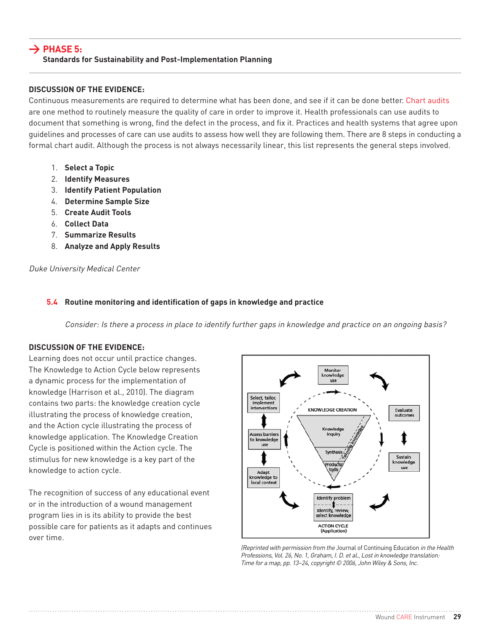#### **> Phase 5: Standards for Sustainability and Post-Implementation Planning**

#### **Discussion of the Evidence:**

Continuous measurements are required to determine what has been done, and see if it can be done better. Chart audits are one method to routinely measure the quality of care in order to improve it. Health professionals can use audits to document that something is wrong, find the defect in the process, and fix it. Practices and health systems that agree upon guidelines and processes of care can use audits to assess how well they are following them. There are 8 steps in conducting a formal chart audit. Although the process is not always necessarily linear, this list represents the general steps involved.

- 1. **Select a Topic**
- 2. **Identify Measures**
- 3. **Identify Patient Population**
- 4. **Determine Sample Size**
- 5. **Create Audit Tools**
- 6. **Collect Data**
- 7. **Summarize Results**
- 8. **Analyze and Apply Results**

Duke University Medical Center

#### **5.4 Routine monitoring and identification of gaps in knowledge and practice**

Consider: Is there a process in place to identify further gaps in knowledge and practice on an ongoing basis?

#### **Discussion of the Evidence:**

Learning does not occur until practice changes. The Knowledge to Action Cycle below represents a dynamic process for the implementation of knowledge (Harrison et al., 2010). The diagram contains two parts: the knowledge creation cycle illustrating the process of knowledge creation, and the Action cycle illustrating the process of knowledge application. The Knowledge Creation Cycle is positioned within the Action cycle. The stimulus for new knowledge is a key part of the knowledge to action cycle.

The recognition of success of any educational event or in the introduction of a wound management program lies in is its ability to provide the best possible care for patients as it adapts and continues over time.



(Reprinted with permission from the Journal of Continuing Education in the Health Professions, Vol. 26, No. 1, Graham, I. D. et al., Lost in knowledge translation: Time for a map, pp. 13–24, copyright © 2006, John Wiley & Sons, Inc.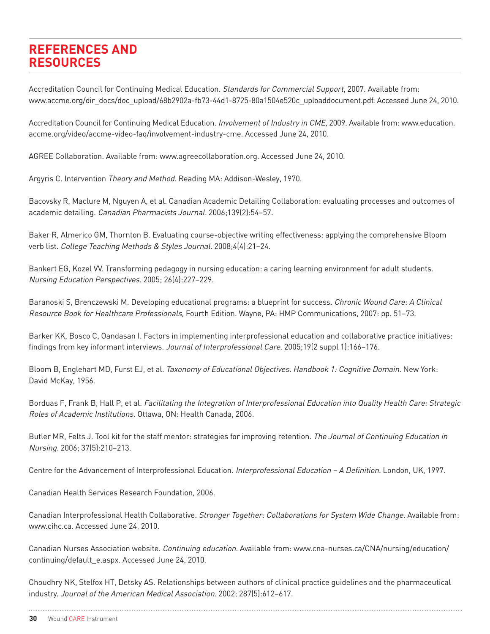Accreditation Council for Continuing Medical Education. Standards for Commercial Support, 2007. Available from: www.accme.org/dir\_docs/doc\_upload/68b2902a-fb73-44d1-8725-80a1504e520c\_uploaddocument.pdf. Accessed June 24, 2010.

Accreditation Council for Continuing Medical Education. Involvement of Industry in CME, 2009. Available from: www.education. accme.org/video/accme-video-faq/involvement-industry-cme. Accessed June 24, 2010.

AGREE Collaboration. Available from: www.agreecollaboration.org. Accessed June 24, 2010.

Argyris C. Intervention Theory and Method. Reading MA: Addison-Wesley, 1970.

Bacovsky R, Maclure M, Nguyen A, et al. Canadian Academic Detailing Collaboration: evaluating processes and outcomes of academic detailing. Canadian Pharmacists Journal. 2006;139(2):54–57.

Baker R, Almerico GM, Thornton B. Evaluating course-objective writing effectiveness: applying the comprehensive Bloom verb list. College Teaching Methods & Styles Journal. 2008;4(4):21–24.

Bankert EG, Kozel VV. Transforming pedagogy in nursing education: a caring learning environment for adult students. Nursing Education Perspectives. 2005; 26(4):227–229.

Baranoski S, Brenczewski M. Developing educational programs: a blueprint for success. Chronic Wound Care: A Clinical Resource Book for Healthcare Professionals, Fourth Edition. Wayne, PA: HMP Communications, 2007: pp. 51–73.

Barker KK, Bosco C, Oandasan I. Factors in implementing interprofessional education and collaborative practice initiatives: findings from key informant interviews. Journal of Interprofessional Care. 2005;19(2 suppl 1):166–176.

Bloom B, Englehart MD, Furst EJ, et al. Taxonomy of Educational Objectives. Handbook 1: Cognitive Domain. New York: David McKay, 1956.

Borduas F, Frank B, Hall P, et al. Facilitating the Integration of Interprofessional Education into Quality Health Care: Strategic Roles of Academic Institutions. Ottawa, ON: Health Canada, 2006.

Butler MR, Felts J. Tool kit for the staff mentor: strategies for improving retention. The Journal of Continuing Education in Nursing. 2006; 37(5):210–213.

Centre for the Advancement of Interprofessional Education. Interprofessional Education – A Definition. London, UK, 1997.

Canadian Health Services Research Foundation, 2006.

Canadian Interprofessional Health Collaborative. Stronger Together: Collaborations for System Wide Change. Available from: www.cihc.ca. Accessed June 24, 2010.

Canadian Nurses Association website. Continuing education. Available from: www.cna-nurses.ca/CNA/nursing/education/ continuing/default\_e.aspx. Accessed June 24, 2010.

Choudhry NK, Stelfox HT, Detsky AS. Relationships between authors of clinical practice guidelines and the pharmaceutical industry. Journal of the American Medical Association. 2002; 287(5):612–617.

**30** Wound CARE Instrument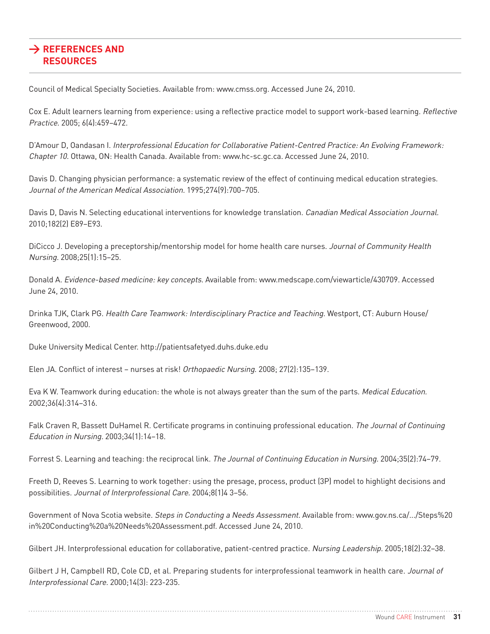Council of Medical Specialty Societies. Available from: www.cmss.org. Accessed June 24, 2010.

Cox E. Adult learners learning from experience: using a reflective practice model to support work-based learning. Reflective Practice. 2005; 6(4):459–472.

D'Amour D, Oandasan I. Interprofessional Education for Collaborative Patient-Centred Practice: An Evolving Framework: Chapter 10. Ottawa, ON: Health Canada. Available from: www.hc-sc.gc.ca. Accessed June 24, 2010.

Davis D. Changing physician performance: a systematic review of the effect of continuing medical education strategies. Journal of the American Medical Association. 1995;274(9):700–705.

Davis D, Davis N. Selecting educational interventions for knowledge translation. Canadian Medical Association Journal. 2010;182(2) E89–E93.

DiCicco J. Developing a preceptorship/mentorship model for home health care nurses. Journal of Community Health Nursing. 2008;25(1):15–25.

Donald A. Evidence-based medicine: key concepts. Available from: www.medscape.com/viewarticle/430709. Accessed June 24, 2010.

Drinka TJK, Clark PG. Health Care Teamwork: Interdisciplinary Practice and Teaching. Westport, CT: Auburn House/ Greenwood, 2000.

Duke University Medical Center. http://patientsafetyed.duhs.duke.edu

Elen JA. Conflict of interest – nurses at risk! Orthopaedic Nursing. 2008; 27(2):135–139.

Eva K W. Teamwork during education: the whole is not always greater than the sum of the parts. Medical Education. 2002;36(4):314–316.

Falk Craven R, Bassett DuHamel R. Certificate programs in continuing professional education. The Journal of Continuing Education in Nursing. 2003;34(1):14–18.

Forrest S. Learning and teaching: the reciprocal link. The Journal of Continuing Education in Nursing. 2004;35(2):74–79.

Freeth D, Reeves S. Learning to work together: using the presage, process, product (3P) model to highlight decisions and possibilities. Journal of Interprofessional Care. 2004;8(1)4 3–56.

Government of Nova Scotia website. Steps in Conducting a Needs Assessment. Available from: www.gov.ns.ca/.../Steps%20 in%20Conducting%20a%20Needs%20Assessment.pdf. Accessed June 24, 2010.

Gilbert JH. Interprofessional education for collaborative, patient-centred practice. Nursing Leadership. 2005;18(2):32–38.

Gilbert J H, Campbell RD, Cole CD, et al. Preparing students for interprofessional teamwork in health care. Journal of Interprofessional Care. 2000;14(3): 223-235.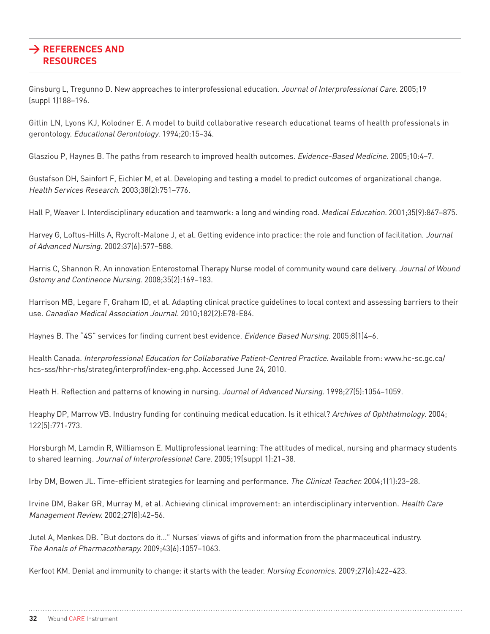Ginsburg L, Tregunno D. New approaches to interprofessional education. Journal of Interprofessional Care. 2005;19 (suppl 1)188–196.

Gitlin LN, Lyons KJ, Kolodner E. A model to build collaborative research educational teams of health professionals in gerontology. Educational Gerontology. 1994;20:15–34.

Glasziou P, Haynes B. The paths from research to improved health outcomes. Evidence-Based Medicine. 2005;10:4–7.

Gustafson DH, Sainfort F, Eichler M, et al. Developing and testing a model to predict outcomes of organizational change. Health Services Research. 2003;38(2):751–776.

Hall P, Weaver l. Interdisciplinary education and teamwork: a long and winding road. Medical Education. 2001;35(9):867–875.

Harvey G, Loftus-Hills A, Rycroft-Malone J, et al. Getting evidence into practice: the role and function of facilitation. Journal of Advanced Nursing. 2002:37(6):577–588.

Harris C, Shannon R. An innovation Enterostomal Therapy Nurse model of community wound care delivery. Journal of Wound Ostomy and Continence Nursing. 2008;35(2):169–183.

Harrison MB, Legare F, Graham ID, et al. Adapting clinical practice guidelines to local context and assessing barriers to their use. Canadian Medical Association Journal. 2010;182(2):E78-E84.

Haynes B. The "4S" services for finding current best evidence. *Evidence Based Nursing.* 2005;8(1)4-6.

Health Canada. Interprofessional Education for Collaborative Patient-Centred Practice. Available from: www.hc-sc.gc.ca/ hcs-sss/hhr-rhs/strateg/interprof/index-eng.php. Accessed June 24, 2010.

Heath H. Reflection and patterns of knowing in nursing. Journal of Advanced Nursing. 1998;27(5):1054–1059.

Heaphy DP, Marrow VB. Industry funding for continuing medical education. Is it ethical? Archives of Ophthalmology. 2004; 122(5):771-773.

Horsburgh M, Lamdin R, Williamson E. Multiprofessional learning: The attitudes of medical, nursing and pharmacy students to shared learning. Journal of Interprofessional Care. 2005;19(suppl 1):21–38.

Irby DM, Bowen JL. Time-efficient strategies for learning and performance. The Clinical Teacher. 2004;1(1):23–28.

Irvine DM, Baker GR, Murray M, et al. Achieving clinical improvement: an interdisciplinary intervention. Health Care Management Review. 2002;27(8):42–56.

Jutel A, Menkes DB. "But doctors do it…" Nurses' views of gifts and information from the pharmaceutical industry. The Annals of Pharmacotherapy. 2009;43(6):1057–1063.

Kerfoot KM. Denial and immunity to change: it starts with the leader. Nursing Economics. 2009;27(6):422-423.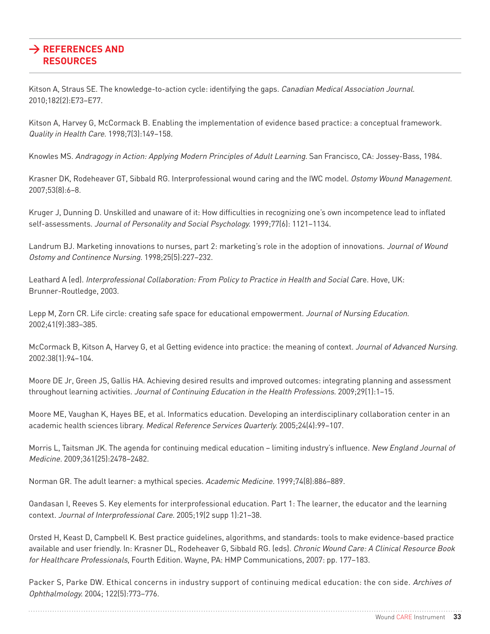Kitson A, Straus SE. The knowledge-to-action cycle: identifying the gaps. Canadian Medical Association Journal. 2010;182(2):E73–E77.

Kitson A, Harvey G, McCormack B. Enabling the implementation of evidence based practice: a conceptual framework. Quality in Health Care. 1998;7(3):149–158.

Knowles MS. Andragogy in Action: Applying Modern Principles of Adult Learning. San Francisco, CA: Jossey-Bass, 1984.

Krasner DK, Rodeheaver GT, Sibbald RG. Interprofessional wound caring and the IWC model. Ostomy Wound Management. 2007;53(8):6–8.

Kruger J, Dunning D. Unskilled and unaware of it: How difficulties in recognizing one's own incompetence lead to inflated self-assessments. Journal of Personality and Social Psychology. 1999;77(6): 1121–1134.

Landrum BJ. Marketing innovations to nurses, part 2: marketing's role in the adoption of innovations. Journal of Wound Ostomy and Continence Nursing. 1998;25(5):227–232.

Leathard A (ed). Interprofessional Collaboration: From Policy to Practice in Health and Social Care. Hove, UK: Brunner-Routledge, 2003.

Lepp M, Zorn CR. Life circle: creating safe space for educational empowerment. Journal of Nursing Education. 2002;41(9):383–385.

McCormack B, Kitson A, Harvey G, et al Getting evidence into practice: the meaning of context. Journal of Advanced Nursing. 2002:38(1):94–104.

Moore DE Jr, Green JS, Gallis HA. Achieving desired results and improved outcomes: integrating planning and assessment throughout learning activities. Journal of Continuing Education in the Health Professions. 2009;29(1):1–15.

Moore ME, Vaughan K, Hayes BE, et al. Informatics education. Developing an interdisciplinary collaboration center in an academic health sciences library. Medical Reference Services Quarterly. 2005;24(4):99–107.

Morris L, Taitsman JK. The agenda for continuing medical education – limiting industry's influence. New England Journal of Medicine. 2009;361(25):2478–2482.

Norman GR. The adult learner: a mythical species. Academic Medicine. 1999;74(8):886–889.

Oandasan I, Reeves S. Key elements for interprofessional education. Part 1: The learner, the educator and the learning context. Journal of Interprofessional Care. 2005;19(2 supp 1):21–38.

Orsted H, Keast D, Campbell K. Best practice guidelines, algorithms, and standards: tools to make evidence-based practice available and user friendly. In: Krasner DL, Rodeheaver G, Sibbald RG. (eds). Chronic Wound Care: A Clinical Resource Book for Healthcare Professionals, Fourth Edition. Wayne, PA: HMP Communications, 2007: pp. 177–183.

Packer S, Parke DW. Ethical concerns in industry support of continuing medical education: the con side. Archives of Ophthalmology. 2004; 122(5):773–776.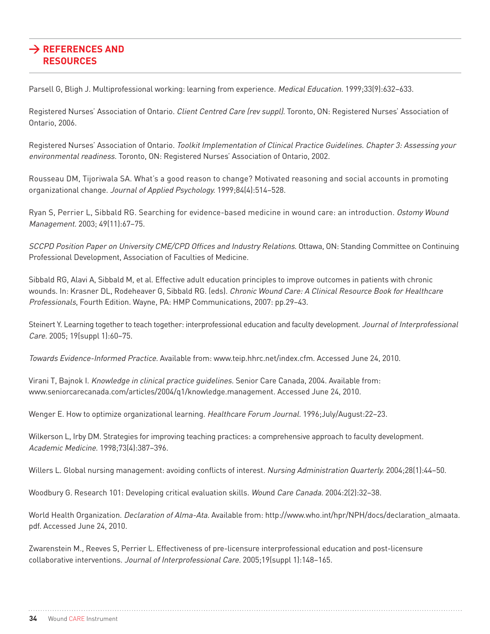Parsell G, Bligh J. Multiprofessional working: learning from experience. Medical Education. 1999;33(9):632-633.

Registered Nurses' Association of Ontario. Client Centred Care (rev suppl). Toronto, ON: Registered Nurses' Association of Ontario, 2006.

Registered Nurses' Association of Ontario. Toolkit Implementation of Clinical Practice Guidelines. Chapter 3: Assessing your environmental readiness. Toronto, ON: Registered Nurses' Association of Ontario, 2002.

Rousseau DM, Tijoriwala SA. What's a good reason to change? Motivated reasoning and social accounts in promoting organizational change. Journal of Applied Psychology. 1999;84(4):514–528.

Ryan S, Perrier L, Sibbald RG. Searching for evidence-based medicine in wound care: an introduction. Ostomy Wound Management. 2003; 49(11):67–75.

SCCPD Position Paper on University CME/CPD Offices and Industry Relations. Ottawa, ON: Standing Committee on Continuing Professional Development, Association of Faculties of Medicine.

Sibbald RG, Alavi A, Sibbald M, et al. Effective adult education principles to improve outcomes in patients with chronic wounds. In: Krasner DL, Rodeheaver G, Sibbald RG. (eds). Chronic Wound Care: A Clinical Resource Book for Healthcare Professionals, Fourth Edition. Wayne, PA: HMP Communications, 2007: pp.29–43.

Steinert Y. Learning together to teach together: interprofessional education and faculty development. Journal of Interprofessional Care. 2005; 19(suppl 1):60–75.

Towards Evidence-Informed Practice. Available from: www.teip.hhrc.net/index.cfm. Accessed June 24, 2010.

Virani T, Bajnok I. Knowledge in clinical practice guidelines. Senior Care Canada, 2004. Available from: www.seniorcarecanada.com/articles/2004/q1/knowledge.management. Accessed June 24, 2010.

Wenger E. How to optimize organizational learning. Healthcare Forum Journal. 1996;July/August:22-23.

Wilkerson L, Irby DM. Strategies for improving teaching practices: a comprehensive approach to faculty development. Academic Medicine. 1998;73(4):387–396.

Willers L. Global nursing management: avoiding conflicts of interest. Nursing Administration Quarterly. 2004;28(1):44–50.

Woodbury G. Research 101: Developing critical evaluation skills. Wound Care Canada. 2004:2(2):32-38.

World Health Organization. Declaration of Alma-Ata. Available from: http://www.who.int/hpr/NPH/docs/declaration\_almaata. pdf. Accessed June 24, 2010.

Zwarenstein M., Reeves S, Perrier L. Effectiveness of pre-licensure interprofessional education and post-licensure collaborative interventions. Journal of Interprofessional Care. 2005;19(suppl 1):148-165.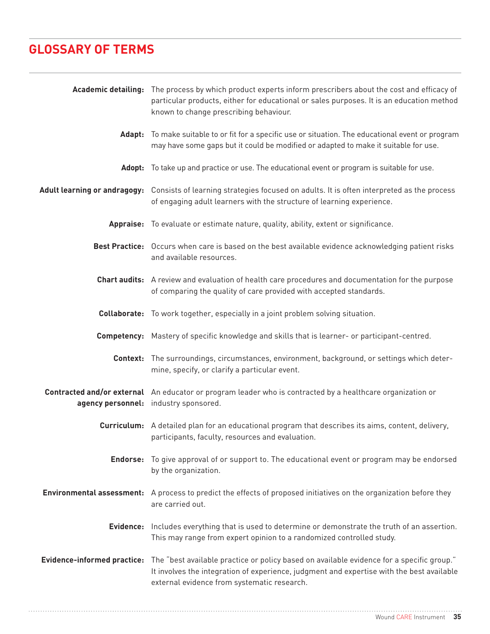# **Glossary of Terms**

|                                    | Academic detailing: The process by which product experts inform prescribers about the cost and efficacy of<br>particular products, either for educational or sales purposes. It is an education method<br>known to change prescribing behaviour. |
|------------------------------------|--------------------------------------------------------------------------------------------------------------------------------------------------------------------------------------------------------------------------------------------------|
| Adapt:                             | To make suitable to or fit for a specific use or situation. The educational event or program<br>may have some gaps but it could be modified or adapted to make it suitable for use.                                                              |
|                                    | Adopt: To take up and practice or use. The educational event or program is suitable for use.                                                                                                                                                     |
|                                    | Adult learning or andragogy: Consists of learning strategies focused on adults. It is often interpreted as the process<br>of engaging adult learners with the structure of learning experience.                                                  |
|                                    | Appraise: To evaluate or estimate nature, quality, ability, extent or significance.                                                                                                                                                              |
|                                    | Best Practice: Occurs when care is based on the best available evidence acknowledging patient risks<br>and available resources.                                                                                                                  |
|                                    | <b>Chart audits:</b> A review and evaluation of health care procedures and documentation for the purpose<br>of comparing the quality of care provided with accepted standards.                                                                   |
|                                    | <b>Collaborate:</b> To work together, especially in a joint problem solving situation.                                                                                                                                                           |
|                                    | <b>Competency:</b> Mastery of specific knowledge and skills that is learner- or participant-centred.                                                                                                                                             |
|                                    | <b>Context:</b> The surroundings, circumstances, environment, background, or settings which deter-<br>mine, specify, or clarify a particular event.                                                                                              |
|                                    | <b>Contracted and/or external</b> An educator or program leader who is contracted by a healthcare organization or<br>agency personnel: industry sponsored.                                                                                       |
|                                    | <b>Curriculum:</b> A detailed plan for an educational program that describes its aims, content, delivery,<br>participants, faculty, resources and evaluation.                                                                                    |
|                                    | <b>Endorse:</b> To give approval of or support to. The educational event or program may be endorsed<br>by the organization.                                                                                                                      |
|                                    | <b>Environmental assessment:</b> A process to predict the effects of proposed initiatives on the organization before they<br>are carried out.                                                                                                    |
|                                    | Evidence: Includes everything that is used to determine or demonstrate the truth of an assertion.<br>This may range from expert opinion to a randomized controlled study.                                                                        |
| <b>Evidence-informed practice:</b> | The "best available practice or policy based on available evidence for a specific group."<br>It involves the integration of experience, judgment and expertise with the best available<br>external evidence from systematic research.            |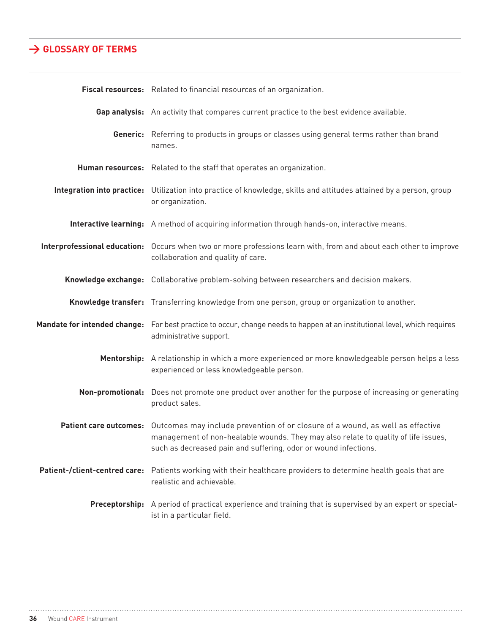## **> Glossary of Terms**

| Fiscal resources: Related to financial resources of an organization.                                                                                                                                                                                           |
|----------------------------------------------------------------------------------------------------------------------------------------------------------------------------------------------------------------------------------------------------------------|
| Gap analysis: An activity that compares current practice to the best evidence available.                                                                                                                                                                       |
| Generic: Referring to products in groups or classes using general terms rather than brand<br>names.                                                                                                                                                            |
| Human resources: Related to the staff that operates an organization.                                                                                                                                                                                           |
| Integration into practice: Utilization into practice of knowledge, skills and attitudes attained by a person, group<br>or organization.                                                                                                                        |
| Interactive learning: A method of acquiring information through hands-on, interactive means.                                                                                                                                                                   |
| Interprofessional education: Occurs when two or more professions learn with, from and about each other to improve<br>collaboration and quality of care.                                                                                                        |
| Knowledge exchange: Collaborative problem-solving between researchers and decision makers.                                                                                                                                                                     |
| Knowledge transfer: Transferring knowledge from one person, group or organization to another.                                                                                                                                                                  |
| Mandate for intended change: For best practice to occur, change needs to happen at an institutional level, which requires<br>administrative support.                                                                                                           |
| Mentorship: A relationship in which a more experienced or more knowledgeable person helps a less<br>experienced or less knowledgeable person.                                                                                                                  |
| <b>Non-promotional:</b> Does not promote one product over another for the purpose of increasing or generating<br>product sales.                                                                                                                                |
| Patient care outcomes: Outcomes may include prevention of or closure of a wound, as well as effective<br>management of non-healable wounds. They may also relate to quality of life issues,<br>such as decreased pain and suffering, odor or wound infections. |
| Patient-/client-centred care: Patients working with their healthcare providers to determine health goals that are<br>realistic and achievable.                                                                                                                 |
| Preceptorship: A period of practical experience and training that is supervised by an expert or special-<br>ist in a particular field.                                                                                                                         |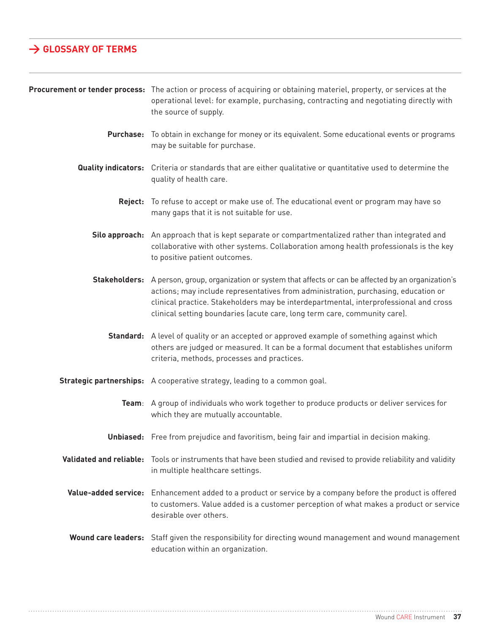# **> glossary of terms**

|                  | Procurement or tender process: The action or process of acquiring or obtaining materiel, property, or services at the<br>operational level: for example, purchasing, contracting and negotiating directly with<br>the source of supply.                                                                                                                                |
|------------------|------------------------------------------------------------------------------------------------------------------------------------------------------------------------------------------------------------------------------------------------------------------------------------------------------------------------------------------------------------------------|
| <b>Purchase:</b> | To obtain in exchange for money or its equivalent. Some educational events or programs<br>may be suitable for purchase.                                                                                                                                                                                                                                                |
|                  | <b>Quality indicators:</b> Criteria or standards that are either qualitative or quantitative used to determine the<br>quality of health care.                                                                                                                                                                                                                          |
|                  | Reject: To refuse to accept or make use of. The educational event or program may have so<br>many gaps that it is not suitable for use.                                                                                                                                                                                                                                 |
|                  | Silo approach: An approach that is kept separate or compartmentalized rather than integrated and<br>collaborative with other systems. Collaboration among health professionals is the key<br>to positive patient outcomes.                                                                                                                                             |
|                  | Stakeholders: A person, group, organization or system that affects or can be affected by an organization's<br>actions; may include representatives from administration, purchasing, education or<br>clinical practice. Stakeholders may be interdepartmental, interprofessional and cross<br>clinical setting boundaries (acute care, long term care, community care). |
|                  | Standard: A level of quality or an accepted or approved example of something against which<br>others are judged or measured. It can be a formal document that establishes uniform<br>criteria, methods, processes and practices.                                                                                                                                       |
|                  | <b>Strategic partnerships:</b> A cooperative strategy, leading to a common goal.                                                                                                                                                                                                                                                                                       |
|                  | Team: A group of individuals who work together to produce products or deliver services for<br>which they are mutually accountable.                                                                                                                                                                                                                                     |
|                  | <b>Unbiased:</b> Free from prejudice and favoritism, being fair and impartial in decision making.                                                                                                                                                                                                                                                                      |
|                  | Validated and reliable: Tools or instruments that have been studied and revised to provide reliability and validity<br>in multiple healthcare settings.                                                                                                                                                                                                                |
|                  | Value-added service: Enhancement added to a product or service by a company before the product is offered<br>to customers. Value added is a customer perception of what makes a product or service<br>desirable over others.                                                                                                                                           |
|                  | <b>Wound care leaders:</b> Staff given the responsibility for directing wound management and wound management<br>education within an organization.                                                                                                                                                                                                                     |

. . . . . . . . . . . . . . .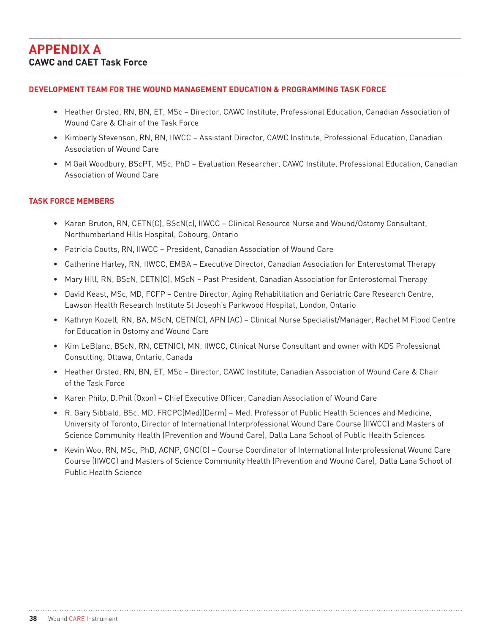#### **Development Team for the Wound Management Education & Programming Task Force**

- Heather Orsted, RN, BN, ET, MSc Director, CAWC Institute, Professional Education, Canadian Association of Wound Care & Chair of the Task Force
- Kimberly Stevenson, RN, BN, IIWCC Assistant Director, CAWC Institute, Professional Education, Canadian Association of Wound Care
- M Gail Woodbury, BScPT, MSc, PhD Evaluation Researcher, CAWC Institute, Professional Education, Canadian Association of Wound Care

#### **Task Force Members**

- Karen Bruton, RN, CETN(C), BScN(c), IIWCC Clinical Resource Nurse and Wound/Ostomy Consultant, Northumberland Hills Hospital, Cobourg, Ontario
- Patricia Coutts, RN, IIWCC President, Canadian Association of Wound Care
- Catherine Harley, RN, IIWCC, EMBA Executive Director, Canadian Association for Enterostomal Therapy
- Mary Hill, RN, BScN, CETN(C), MScN Past President, Canadian Association for Enterostomal Therapy
- David Keast, MSc, MD, FCFP Centre Director, Aging Rehabilitation and Geriatric Care Research Centre, Lawson Health Research Institute St Joseph's Parkwood Hospital, London, Ontario
- Kathryn Kozell, RN, BA, MScN, CETN(C), APN (AC) Clinical Nurse Specialist/Manager, Rachel M Flood Centre for Education in Ostomy and Wound Care
- Kim LeBlanc, BScN, RN, CETN(C), MN, IIWCC, Clinical Nurse Consultant and owner with KDS Professional Consulting, Ottawa, Ontario, Canada
- Heather Orsted, RN, BN, ET, MSc Director, CAWC Institute, Canadian Association of Wound Care & Chair of the Task Force
- Karen Philp, D.Phil (Oxon) Chief Executive Officer, Canadian Association of Wound Care
- R. Gary Sibbald, BSc, MD, FRCPC(Med)(Derm) Med. Professor of Public Health Sciences and Medicine, University of Toronto, Director of International Interprofessional Wound Care Course (IIWCC) and Masters of Science Community Health (Prevention and Wound Care), Dalla Lana School of Public Health Sciences
- Kevin Woo, RN, MSc, PhD, ACNP, GNC(C) Course Coordinator of International Interprofessional Wound Care Course (IIWCC) and Masters of Science Community Health (Prevention and Wound Care), Dalla Lana School of Public Health Science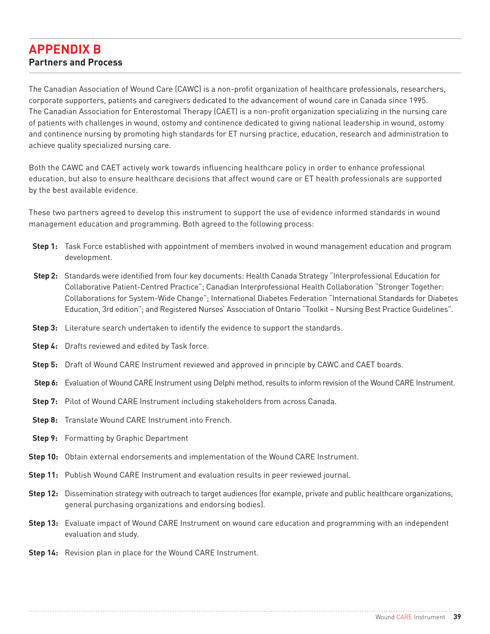# **APPENDIX B Partners and Process**

The Canadian Association of Wound Care (CAWC) is a non-profit organization of healthcare professionals, researchers, corporate supporters, patients and caregivers dedicated to the advancement of wound care in Canada since 1995. The Canadian Association for Enterostomal Therapy (CAET) is a non-profit organization specializing in the nursing care of patients with challenges in wound, ostomy and continence dedicated to giving national leadership in wound, ostomy and continence nursing by promoting high standards for ET nursing practice, education, research and administration to achieve quality specialized nursing care.

Both the CAWC and CAET actively work towards influencing healthcare policy in order to enhance professional education, but also to ensure healthcare decisions that affect wound care or ET health professionals are supported by the best available evidence.

These two partners agreed to develop this instrument to support the use of evidence informed standards in wound management education and programming. Both agreed to the following process:

- **Step 1:** Task Force established with appointment of members involved in wound management education and program development.
- **Step 2:** Standards were identified from four key documents: Health Canada Strategy "Interprofessional Education for Collaborative Patient-Centred Practice"; Canadian Interprofessional Health Collaboration "Stronger Together: Collaborations for System-Wide Change"; International Diabetes Federation "International Standards for Diabetes Education, 3rd edition"; and Registered Nurses' Association of Ontario "Toolkit – Nursing Best Practice Guidelines".
- **Step 3:** Literature search undertaken to identify the evidence to support the standards.
- **Step 4:** Drafts reviewed and edited by Task force.
- **Step 5:** Draft of Wound CARE Instrument reviewed and approved in principle by CAWC and CAET boards.
- **Step 6:** Evaluation of Wound CARE Instrument using Delphi method, results to inform revision of the Wound CARE Instrument.
- **Step 7:** Pilot of Wound CARE Instrument including stakeholders from across Canada.
- **Step 8:** Translate Wound CARE Instrument into French.
- **Step 9:** Formatting by Graphic Department
- **Step 10:** Obtain external endorsements and implementation of the Wound CARE Instrument.
- **Step 11:** Publish Wound CARE Instrument and evaluation results in peer reviewed journal.
- **Step 12:** Dissemination strategy with outreach to target audiences (for example, private and public healthcare organizations, general purchasing organizations and endorsing bodies).
- **Step 13:** Evaluate impact of Wound CARE Instrument on wound care education and programming with an independent evaluation and study.
- **Step 14:** Revision plan in place for the Wound CARE Instrument.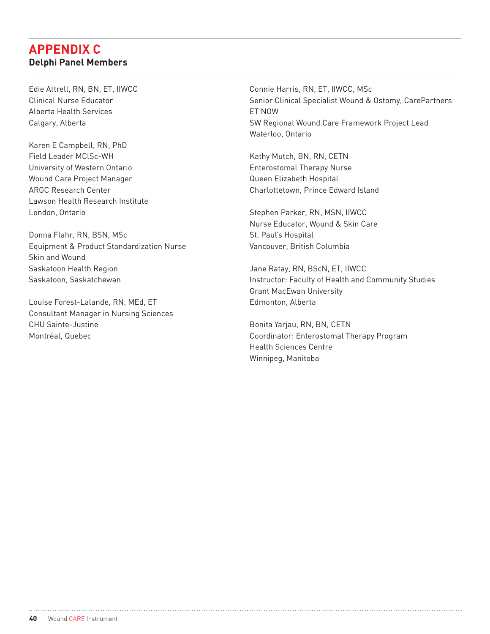# **APPENDIX C Delphi Panel Members**

Edie Attrell, RN, BN, ET, IIWCC Clinical Nurse Educator Alberta Health Services Calgary, Alberta

Karen E Campbell, RN, PhD Field Leader MClSc-WH University of Western Ontario Wound Care Project Manager ARGC Research Center Lawson Health Research Institute London, Ontario

Donna Flahr, RN, BSN, MSc Equipment & Product Standardization Nurse Skin and Wound Saskatoon Health Region Saskatoon, Saskatchewan

Louise Forest-Lalande, RN, MEd, ET Consultant Manager in Nursing Sciences CHU Sainte-Justine Montréal, Quebec

Connie Harris, RN, ET, IIWCC, MSc Senior Clinical Specialist Wound & Ostomy, CarePartners ET NOW SW Regional Wound Care Framework Project Lead Waterloo, Ontario

Kathy Mutch, BN, RN, CETN Enterostomal Therapy Nurse Queen Elizabeth Hospital Charlottetown, Prince Edward Island

Stephen Parker, RN, MSN, IIWCC Nurse Educator, Wound & Skin Care St. Paul's Hospital Vancouver, British Columbia

Jane Ratay, RN, BScN, ET, IIWCC Instructor: Faculty of Health and Community Studies Grant MacEwan University Edmonton, Alberta

Bonita Yarjau, RN, BN, CETN Coordinator: Enterostomal Therapy Program Health Sciences Centre Winnipeg, Manitoba